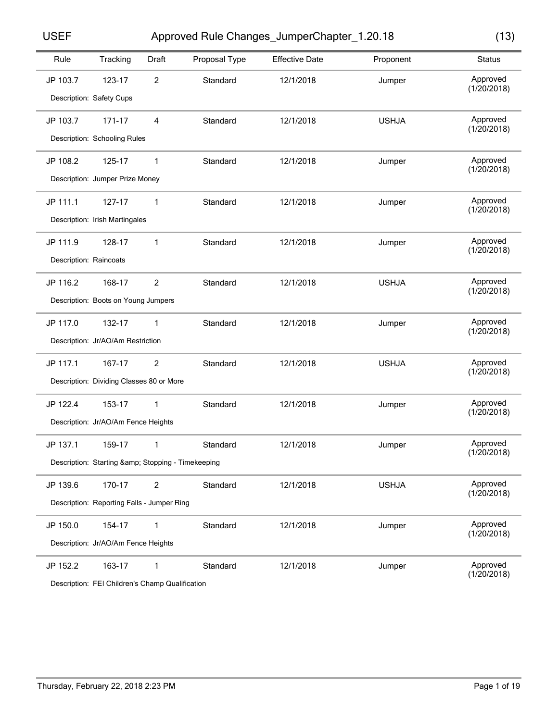Approved Rule Changes\_JumperChapter\_1.20.18 USEF (13)

|  | w       |
|--|---------|
|  | ×<br>۰. |

| Rule     | Tracking                                       | Draft          | Proposal Type | <b>Effective Date</b> | Proponent    | <b>Status</b>           |
|----------|------------------------------------------------|----------------|---------------|-----------------------|--------------|-------------------------|
| JP 103.7 | 123-17                                         | $\overline{c}$ | Standard      | 12/1/2018             | Jumper       | Approved<br>(1/20/2018) |
|          | Description: Safety Cups                       |                |               |                       |              |                         |
| JP 103.7 | 171-17                                         | 4              | Standard      | 12/1/2018             | <b>USHJA</b> | Approved                |
|          | Description: Schooling Rules                   |                |               |                       |              | (1/20/2018)             |
| JP 108.2 | 125-17                                         | 1              | Standard      | 12/1/2018             | Jumper       | Approved                |
|          | Description: Jumper Prize Money                |                |               |                       |              | (1/20/2018)             |
| JP 111.1 | 127-17                                         | 1              | Standard      | 12/1/2018             | Jumper       | Approved                |
|          | Description: Irish Martingales                 |                |               |                       |              | (1/20/2018)             |
| JP 111.9 | 128-17                                         | 1              | Standard      | 12/1/2018             | Jumper       | Approved                |
|          | Description: Raincoats                         |                |               |                       |              | (1/20/2018)             |
| JP 116.2 | 168-17                                         | $\overline{2}$ | Standard      | 12/1/2018             | <b>USHJA</b> | Approved                |
|          | Description: Boots on Young Jumpers            |                |               |                       |              | (1/20/2018)             |
| JP 117.0 | 132-17                                         | 1              | Standard      | 12/1/2018             | Jumper       | Approved                |
|          | Description: Jr/AO/Am Restriction              |                |               |                       |              | (1/20/2018)             |
| JP 117.1 | 167-17                                         | $\overline{c}$ | Standard      | 12/1/2018             | <b>USHJA</b> | Approved                |
|          | Description: Dividing Classes 80 or More       |                |               |                       |              | (1/20/2018)             |
| JP 122.4 | 153-17                                         | 1              | Standard      | 12/1/2018             | Jumper       | Approved                |
|          | Description: Jr/AO/Am Fence Heights            |                |               |                       |              | (1/20/2018)             |
| JP 137.1 | 159-17                                         | 1              | Standard      | 12/1/2018             | Jumper       | Approved                |
|          | Description: Starting & Stopping - Timekeeping |                |               |                       |              | (1/20/2018)             |
| JP 139.6 | 170-17                                         | $\overline{c}$ | Standard      | 12/1/2018             | <b>USHJA</b> | Approved                |
|          | Description: Reporting Falls - Jumper Ring     |                |               |                       |              | (1/20/2018)             |
| JP 150.0 | 154-17                                         | 1              | Standard      | 12/1/2018             | Jumper       | Approved                |
|          | Description: Jr/AO/Am Fence Heights            |                |               |                       |              | (1/20/2018)             |
| JP 152.2 | 163-17                                         | 1              | Standard      | 12/1/2018             | Jumper       | Approved                |
|          |                                                |                |               |                       |              | (1/20/2018)             |

Description: FEI Children's Champ Qualification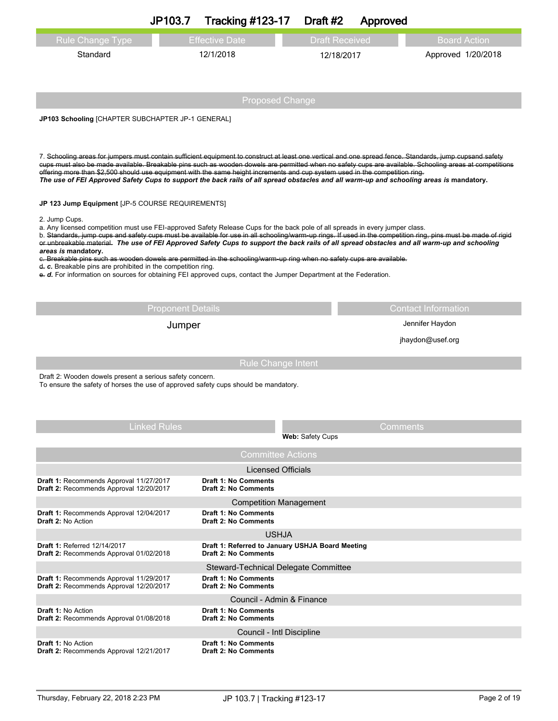|                                                                                                                                                                                                                                                                                                                                                                                                                                     | JP103.7                  | <b>Tracking #123-17</b>                                             | Draft #2                | Approved              |                                                                                                                                                         |  |
|-------------------------------------------------------------------------------------------------------------------------------------------------------------------------------------------------------------------------------------------------------------------------------------------------------------------------------------------------------------------------------------------------------------------------------------|--------------------------|---------------------------------------------------------------------|-------------------------|-----------------------|---------------------------------------------------------------------------------------------------------------------------------------------------------|--|
| <b>Rule Change Type</b>                                                                                                                                                                                                                                                                                                                                                                                                             |                          | <b>Effective Date</b>                                               |                         | <b>Draft Received</b> | <b>Board Action</b>                                                                                                                                     |  |
| Standard                                                                                                                                                                                                                                                                                                                                                                                                                            |                          | 12/1/2018                                                           |                         | 12/18/2017            | Approved 1/20/2018                                                                                                                                      |  |
|                                                                                                                                                                                                                                                                                                                                                                                                                                     |                          |                                                                     |                         |                       |                                                                                                                                                         |  |
|                                                                                                                                                                                                                                                                                                                                                                                                                                     |                          |                                                                     |                         |                       |                                                                                                                                                         |  |
|                                                                                                                                                                                                                                                                                                                                                                                                                                     |                          | <b>Proposed Change</b>                                              |                         |                       |                                                                                                                                                         |  |
| JP103 Schooling [CHAPTER SUBCHAPTER JP-1 GENERAL]                                                                                                                                                                                                                                                                                                                                                                                   |                          |                                                                     |                         |                       |                                                                                                                                                         |  |
|                                                                                                                                                                                                                                                                                                                                                                                                                                     |                          |                                                                     |                         |                       |                                                                                                                                                         |  |
| 7. Schooling areas for jumpers must contain sufficient equipment to construct at least one vertical and one spread fence. Standards, jump cupsand safety<br>offering more than \$2,500 should use equipment with the same height increments and cup system used in the competition ring.<br>The use of FEI Approved Safety Cups to support the back rails of all spread obstacles and all warm-up and schooling areas is mandatory. |                          |                                                                     |                         |                       | cups must also be made available. Breakable pins such as wooden dowels are permitted when no safety cups are available. Schooling areas at competitions |  |
| JP 123 Jump Equipment [JP-5 COURSE REQUIREMENTS]                                                                                                                                                                                                                                                                                                                                                                                    |                          |                                                                     |                         |                       |                                                                                                                                                         |  |
| 2. Jump Cups.<br>a. Any licensed competition must use FEI-approved Safety Release Cups for the back pole of all spreads in every jumper class.                                                                                                                                                                                                                                                                                      |                          |                                                                     |                         |                       |                                                                                                                                                         |  |
| b. Standards, jump cups and safety cups must be available for use in all schooling/warm-up rings. If used in the competition ring, pins must be made of rigid<br>or unbreakable material. The use of FEI Approved Safety Cups to support the back rails of all spread obstacles and all warm-up and schooling                                                                                                                       |                          |                                                                     |                         |                       |                                                                                                                                                         |  |
| areas is mandatory.<br>c. Breakable pins such as wooden dowels are permitted in the schooling/warm-up ring when no safety cups are available.                                                                                                                                                                                                                                                                                       |                          |                                                                     |                         |                       |                                                                                                                                                         |  |
| $d$ . C. Breakable pins are prohibited in the competition ring.<br>e. d. For information on sources for obtaining FEI approved cups, contact the Jumper Department at the Federation.                                                                                                                                                                                                                                               |                          |                                                                     |                         |                       |                                                                                                                                                         |  |
|                                                                                                                                                                                                                                                                                                                                                                                                                                     |                          |                                                                     |                         |                       |                                                                                                                                                         |  |
|                                                                                                                                                                                                                                                                                                                                                                                                                                     | <b>Proponent Details</b> |                                                                     |                         |                       | <b>Contact Information</b>                                                                                                                              |  |
|                                                                                                                                                                                                                                                                                                                                                                                                                                     | Jumper                   |                                                                     |                         |                       | Jennifer Haydon                                                                                                                                         |  |
|                                                                                                                                                                                                                                                                                                                                                                                                                                     |                          |                                                                     |                         | jhaydon@usef.org      |                                                                                                                                                         |  |
|                                                                                                                                                                                                                                                                                                                                                                                                                                     |                          | <b>Rule Change Intent</b>                                           |                         |                       |                                                                                                                                                         |  |
| Draft 2: Wooden dowels present a serious safety concern.                                                                                                                                                                                                                                                                                                                                                                            |                          |                                                                     |                         |                       |                                                                                                                                                         |  |
| To ensure the safety of horses the use of approved safety cups should be mandatory.                                                                                                                                                                                                                                                                                                                                                 |                          |                                                                     |                         |                       |                                                                                                                                                         |  |
|                                                                                                                                                                                                                                                                                                                                                                                                                                     |                          |                                                                     |                         |                       |                                                                                                                                                         |  |
|                                                                                                                                                                                                                                                                                                                                                                                                                                     | Linked Rules             |                                                                     |                         |                       | Comments                                                                                                                                                |  |
|                                                                                                                                                                                                                                                                                                                                                                                                                                     |                          |                                                                     | <b>Web: Safety Cups</b> |                       |                                                                                                                                                         |  |
|                                                                                                                                                                                                                                                                                                                                                                                                                                     |                          | <b>Committee Actions</b>                                            |                         |                       |                                                                                                                                                         |  |
| Draft 1: Recommends Approval 11/27/2017                                                                                                                                                                                                                                                                                                                                                                                             |                          | <b>Licensed Officials</b><br><b>Draft 1: No Comments</b>            |                         |                       |                                                                                                                                                         |  |
| Draft 2: Recommends Approval 12/20/2017                                                                                                                                                                                                                                                                                                                                                                                             |                          | <b>Draft 2: No Comments</b>                                         |                         |                       |                                                                                                                                                         |  |
| Draft 1: Recommends Approval 12/04/2017                                                                                                                                                                                                                                                                                                                                                                                             |                          | <b>Competition Management</b><br><b>Draft 1: No Comments</b>        |                         |                       |                                                                                                                                                         |  |
| <b>Draft 2: No Action</b>                                                                                                                                                                                                                                                                                                                                                                                                           |                          | <b>Draft 2: No Comments</b><br><b>USHJA</b>                         |                         |                       |                                                                                                                                                         |  |
| <b>Draft 1: Referred 12/14/2017</b>                                                                                                                                                                                                                                                                                                                                                                                                 |                          | Draft 1: Referred to January USHJA Board Meeting                    |                         |                       |                                                                                                                                                         |  |
| Draft 2: Recommends Approval 01/02/2018                                                                                                                                                                                                                                                                                                                                                                                             |                          | <b>Draft 2: No Comments</b><br>Steward-Technical Delegate Committee |                         |                       |                                                                                                                                                         |  |
| Draft 1: Recommends Approval 11/29/2017                                                                                                                                                                                                                                                                                                                                                                                             |                          | <b>Draft 1: No Comments</b><br><b>Draft 2: No Comments</b>          |                         |                       |                                                                                                                                                         |  |
| Draft 2: Recommends Approval 12/20/2017                                                                                                                                                                                                                                                                                                                                                                                             |                          | Council - Admin & Finance                                           |                         |                       |                                                                                                                                                         |  |
| Draft 1: No Action<br>Draft 2: Recommends Approval 01/08/2018                                                                                                                                                                                                                                                                                                                                                                       |                          | <b>Draft 1: No Comments</b><br><b>Draft 2: No Comments</b>          |                         |                       |                                                                                                                                                         |  |
|                                                                                                                                                                                                                                                                                                                                                                                                                                     |                          | Council - Intl Discipline                                           |                         |                       |                                                                                                                                                         |  |
| <b>Draft 1: No Action</b><br>Draft 2: Recommends Approval 12/21/2017                                                                                                                                                                                                                                                                                                                                                                |                          | <b>Draft 1: No Comments</b><br><b>Draft 2: No Comments</b>          |                         |                       |                                                                                                                                                         |  |
|                                                                                                                                                                                                                                                                                                                                                                                                                                     |                          |                                                                     |                         |                       |                                                                                                                                                         |  |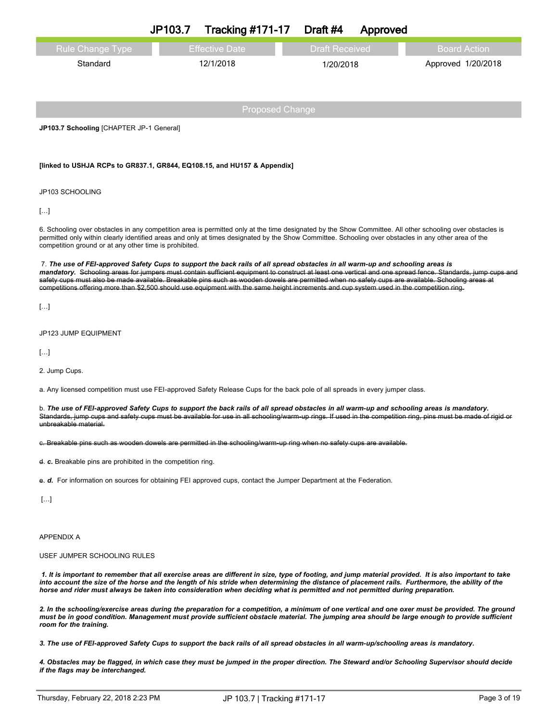|                                                                                                                                                                                                                                                                                                                                                                                                                                                                                                                                                                                                | JP103.7               | <b>Tracking #171-17</b> | Draft #4              | Approved |                    |                     |
|------------------------------------------------------------------------------------------------------------------------------------------------------------------------------------------------------------------------------------------------------------------------------------------------------------------------------------------------------------------------------------------------------------------------------------------------------------------------------------------------------------------------------------------------------------------------------------------------|-----------------------|-------------------------|-----------------------|----------|--------------------|---------------------|
| <b>Rule Change Type</b>                                                                                                                                                                                                                                                                                                                                                                                                                                                                                                                                                                        | <b>Effective Date</b> |                         | <b>Draft Received</b> |          |                    | <b>Board Action</b> |
| Standard                                                                                                                                                                                                                                                                                                                                                                                                                                                                                                                                                                                       | 12/1/2018             |                         | 1/20/2018             |          | Approved 1/20/2018 |                     |
|                                                                                                                                                                                                                                                                                                                                                                                                                                                                                                                                                                                                |                       |                         |                       |          |                    |                     |
|                                                                                                                                                                                                                                                                                                                                                                                                                                                                                                                                                                                                |                       | <b>Proposed Change</b>  |                       |          |                    |                     |
| JP103.7 Schooling [CHAPTER JP-1 General]                                                                                                                                                                                                                                                                                                                                                                                                                                                                                                                                                       |                       |                         |                       |          |                    |                     |
|                                                                                                                                                                                                                                                                                                                                                                                                                                                                                                                                                                                                |                       |                         |                       |          |                    |                     |
| [linked to USHJA RCPs to GR837.1, GR844, EQ108.15, and HU157 & Appendix]                                                                                                                                                                                                                                                                                                                                                                                                                                                                                                                       |                       |                         |                       |          |                    |                     |
| JP103 SCHOOLING                                                                                                                                                                                                                                                                                                                                                                                                                                                                                                                                                                                |                       |                         |                       |          |                    |                     |
| []                                                                                                                                                                                                                                                                                                                                                                                                                                                                                                                                                                                             |                       |                         |                       |          |                    |                     |
| 6. Schooling over obstacles in any competition area is permitted only at the time designated by the Show Committee. All other schooling over obstacles is<br>permitted only within clearly identified areas and only at times designated by the Show Committee. Schooling over obstacles in any other area of the<br>competition ground or at any other time is prohibited.                                                                                                                                                                                                                    |                       |                         |                       |          |                    |                     |
| 7. The use of FEI-approved Safety Cups to support the back rails of all spread obstacles in all warm-up and schooling areas is<br>mandatory. Schooling areas for jumpers must contain sufficient equipment to construct at least one vertical and one spread fence. Standards, jump cups and<br>safety cups must also be made available. Breakable pins such as wooden dowels are permitted when no safety cups are available. Schooling areas at<br>competitions offering more than \$2,500 should use equipment with the same height increments and cup system used in the competition ring. |                       |                         |                       |          |                    |                     |
| []                                                                                                                                                                                                                                                                                                                                                                                                                                                                                                                                                                                             |                       |                         |                       |          |                    |                     |
| JP123 JUMP EQUIPMENT                                                                                                                                                                                                                                                                                                                                                                                                                                                                                                                                                                           |                       |                         |                       |          |                    |                     |
| $[]$                                                                                                                                                                                                                                                                                                                                                                                                                                                                                                                                                                                           |                       |                         |                       |          |                    |                     |
| 2. Jump Cups.                                                                                                                                                                                                                                                                                                                                                                                                                                                                                                                                                                                  |                       |                         |                       |          |                    |                     |
| a. Any licensed competition must use FEI-approved Safety Release Cups for the back pole of all spreads in every jumper class.                                                                                                                                                                                                                                                                                                                                                                                                                                                                  |                       |                         |                       |          |                    |                     |
| b. The use of FEI-approved Safety Cups to support the back rails of all spread obstacles in all warm-up and schooling areas is mandatory.<br>Standards, jump cups and safety cups must be available for use in all schooling/warm-up rings. If used in the competition ring, pins must be made of rigid or<br>unbreakable material.                                                                                                                                                                                                                                                            |                       |                         |                       |          |                    |                     |
| c. Breakable pins such as wooden dowels are permitted in the schooling/warm-up ring when no safety cups are available.                                                                                                                                                                                                                                                                                                                                                                                                                                                                         |                       |                         |                       |          |                    |                     |
| d. c. Breakable pins are prohibited in the competition ring.                                                                                                                                                                                                                                                                                                                                                                                                                                                                                                                                   |                       |                         |                       |          |                    |                     |
| e. d. For information on sources for obtaining FEI approved cups, contact the Jumper Department at the Federation.                                                                                                                                                                                                                                                                                                                                                                                                                                                                             |                       |                         |                       |          |                    |                     |
| []                                                                                                                                                                                                                                                                                                                                                                                                                                                                                                                                                                                             |                       |                         |                       |          |                    |                     |
|                                                                                                                                                                                                                                                                                                                                                                                                                                                                                                                                                                                                |                       |                         |                       |          |                    |                     |
| <b>APPENDIX A</b>                                                                                                                                                                                                                                                                                                                                                                                                                                                                                                                                                                              |                       |                         |                       |          |                    |                     |
| USEF JUMPER SCHOOLING RULES                                                                                                                                                                                                                                                                                                                                                                                                                                                                                                                                                                    |                       |                         |                       |          |                    |                     |
| 1. It is important to remember that all exercise areas are different in size, type of footing, and jump material provided. It is also important to take<br>into account the size of the horse and the length of his stride when determining the distance of placement rails. Furthermore, the ability of the<br>horse and rider must always be taken into consideration when deciding what is permitted and not permitted during preparation.                                                                                                                                                  |                       |                         |                       |          |                    |                     |
|                                                                                                                                                                                                                                                                                                                                                                                                                                                                                                                                                                                                |                       |                         |                       |          |                    |                     |

2. In the schooling/exercise areas during the preparation for a competition, a minimum of one vertical and one oxer must be provided. The ground must be in good condition. Management must provide sufficient obstacle material. The jumping area should be large enough to provide sufficient *room for the training.*

3. The use of FEI-approved Safety Cups to support the back rails of all spread obstacles in all warm-up/schooling areas is mandatory.

4. Obstacles may be flagged, in which case they must be jumped in the proper direction. The Steward and/or Schooling Supervisor should decide *if the flags may be interchanged.*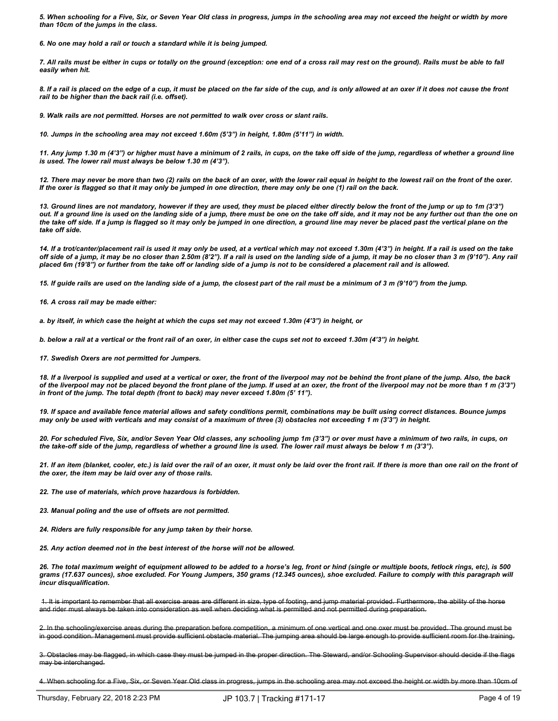5. When schooling for a Five, Six, or Seven Year Old class in progress, jumps in the schooling area may not exceed the height or width by more *than 10cm of the jumps in the class.*

*6. No one may hold a rail or touch a standard while it is being jumped.*

7. All rails must be either in cups or totally on the ground (exception: one end of a cross rail may rest on the ground). Rails must be able to fall *easily when hit.*

8. If a rail is placed on the edge of a cup, it must be placed on the far side of the cup, and is only allowed at an oxer if it does not cause the front *rail to be higher than the back rail (i.e. offset).*

*9. Walk rails are not permitted. Horses are not permitted to walk over cross or slant rails.*

*10. Jumps in the schooling area may not exceed 1.60m (5'3") in height, 1.80m (5'11") in width.*

11. Any jump 1.30 m (4'3") or higher must have a minimum of 2 rails, in cups, on the take off side of the jump, regardless of whether a ground line *is used. The lower rail must always be below 1.30 m (4'3").*

12. There may never be more than two (2) rails on the back of an oxer, with the lower rail equal in height to the lowest rail on the front of the oxer. If the oxer is flagged so that it may only be jumped in one direction, there may only be one (1) rail on the back.

13. Ground lines are not mandatory, however if they are used, they must be placed either directly below the front of the jump or up to 1m (3'3") out. If a ground line is used on the landing side of a jump, there must be one on the take off side, and it may not be any further out than the one on the take off side. If a jump is flagged so it may only be jumped in one direction, a ground line may never be placed past the vertical plane on the *take off side.*

14. If a trot/canter/placement rail is used it may only be used, at a vertical which may not exceed 1.30m (4'3") in height. If a rail is used on the take off side of a jump, it may be no closer than 2.50m (8'2"). If a rail is used on the landing side of a jump, it may be no closer than 3 m (9'10"). Any rail placed 6m (19'8") or further from the take off or landing side of a jump is not to be considered a placement rail and is allowed.

15. If guide rails are used on the landing side of a jump, the closest part of the rail must be a minimum of 3 m (9'10") from the jump.

*16. A cross rail may be made either:*

a. by itself, in which case the height at which the cups set may not exceed 1.30m (4'3") in height, or

b. below a rail at a vertical or the front rail of an oxer, in either case the cups set not to exceed 1.30m (4'3") in height.

*17. Swedish Oxers are not permitted for Jumpers.*

18. If a liverpool is supplied and used at a vertical or oxer, the front of the liverpool may not be behind the front plane of the jump. Also, the back of the liverpool may not be placed beyond the front plane of the jump. If used at an oxer, the front of the liverpool may not be more than 1 m (3'3") *in front of the jump. The total depth (front to back) may never exceed 1.80m (5' 11").*

19. If space and available fence material allows and safety conditions permit, combinations may be built using correct distances. Bounce jumps may only be used with verticals and may consist of a maximum of three (3) obstacles not exceeding 1 m (3'3") in height.

20. For scheduled Five, Six, and/or Seven Year Old classes, any schooling jump 1m (3'3") or over must have a minimum of two rails, in cups, on the take-off side of the jump, regardless of whether a ground line is used. The lower rail must always be below 1 m (3'3").

21. If an item (blanket, cooler, etc.) is laid over the rail of an oxer, it must only be laid over the front rail. If there is more than one rail on the front of *the oxer, the item may be laid over any of those rails.*

*22. The use of materials, which prove hazardous is forbidden.*

*23. Manual poling and the use of offsets are not permitted.*

*24. Riders are fully responsible for any jump taken by their horse.*

*25. Any action deemed not in the best interest of the horse will not be allowed.*

26. The total maximum weight of equipment allowed to be added to a horse's leg, front or hind (single or multiple boots, fetlock rings, etc), is 500 grams (17.637 ounces), shoe excluded. For Young Jumpers, 350 grams (12.345 ounces), shoe excluded. Failure to comply with this paragraph will *incur disqualification.*

1. It is important to remember that all exercise areas are different in size, type of footing, and jump material provided. Furthermore, the ability of the horse and rider must always be taken into consideration as well when deciding what is permitted and not permitted during preparation.

2. In the schooling/exercise areas during the preparation before competition, a minimum of one vertical and one oxer must be provided. The ground must be in good condition. Management must provide sufficient obstacle material. The jumping area should be large enough to provide sufficient room for the training.

3. Obstacles may be flagged, in which case they must be jumped in the proper direction. The Steward, and/or Schooling Supervisor should decide if the flags may be interchanged.

4. When schooling for a Five, Six, or Seven Year Old class in progress, jumps in the schooling area may not exceed the height or width by more than 10cm of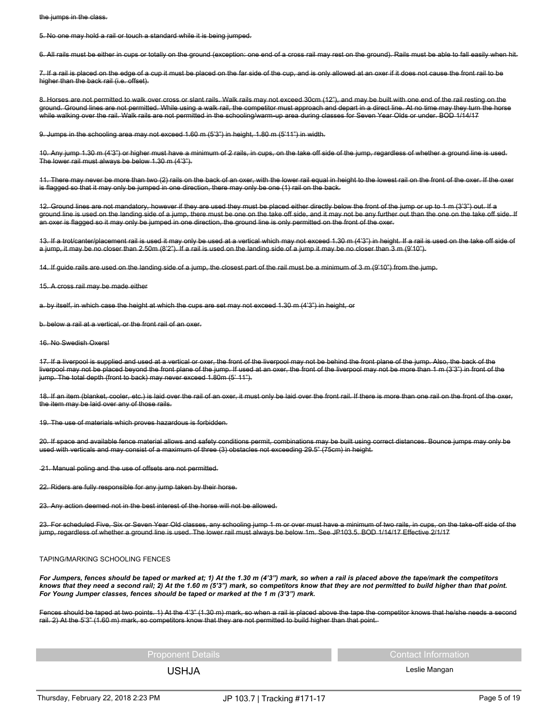the jumps in the class.

5. No one may hold a rail or touch a standard while it is being jumped.

6. All rails must be either in cups or totally on the ground (exception: one end of a cross rail may rest on the ground). Rails must be able to fall easily when hit.

7. If a rail is placed on the edge of a cup it must be placed on the far side of the cup, and is only allowed at an oxer if it does not cause the front rail to be higher than the back rail (i.e. offset).

8. Horses are not permitted to walk over cross or slant rails. Walk rails may not exceed 30cm (12"), and may be built with one end of the rail resting on the ground. Ground lines are not permitted. While using a walk rail, the competitor must approach and depart in a direct line. At no time may they turn the horse while walking over the rail. Walk rails are not permitted in the schooling/warm-up area during classes for Seven Year Olds or under. BOD 1/14/17

9. Jumps in the schooling area may not exceed 1.60 m (5'3") in height, 1.80 m (5'11") in width.

10. Any jump 1.30 m (4'3") or higher must have a minimum of 2 rails, in cups, on the take off side of the jump, regardless of whether a ground line is used. The lower rail must always be below 1.30 m (4'3").

11. There may never be more than two (2) rails on the back of an oxer, with the lower rail equal in height to the lowest rail on the front of the oxer. If the oxer is flagged so that it may only be jumped in one direction, there may only be one (1) rail on the back.

12. Ground lines are not mandatory, however if they are used they must be placed either directly below the front of the jump or up to 1 m (3'3") out. If a ground line is used on the landing side of a jump, there must be one on the take off side, and it may not be any further out than the one on the take off side. If an oxer is flagged so it may only be jumped in one direction, the ground line is only permitted on the front of the oxer.

13. If a trot/canter/placement rail is used it may only be used at a vertical which may not exceed 1.30 m (4'3") in height. If a rail is used on the take off side of a jump, it may be no closer than 2.50m (8'2"). If a rail is used on the landing side of a jump it may be no closer than 3 m (9'10").

14. If guide rails are used on the landing side of a jump, the closest part of the rail must be a minimum of 3 m (9'10") from the jump.

15. A cross rail may be made either

a. by itself, in which case the height at which the cups are set may not exceed 1.30 m (4'3") in height, or

b. below a rail at a vertical, or the front rail of an oxer.

## 16. No Swedish Oxers!

17. If a liverpool is supplied and used at a vertical or oxer, the front of the liverpool may not be behind the front plane of the jump. Also, the back of the liverpool may not be placed beyond the front plane of the jump. If used at an oxer, the front of the liverpool may not be more than 1 m (3'3") in front of the jump. The total depth (front to back) may never exceed 1.80m (5' 11").

18. If an item (blanket, cooler, etc.) is laid over the rail of an oxer, it must only be laid over the front rail. If there is more than one rail on the front of the oxer, the item may be laid over any of those rails.

19. The use of materials which proves hazardous is forbidden.

20. If space and available fence material allows and safety conditions permit, combinations may be built using correct distances. Bounce jumps may only be used with verticals and may consist of a maximum of three (3) obstacles not exceeding 29.5" (75cm) in height.

21. Manual poling and the use of offsets are not permitted.

22. Riders are fully responsible for any jump taken by their horse.

23. Any action deemed not in the best interest of the horse will not be allowed.

23. For scheduled Five, Six or Seven Year Old classes, any schooling jump 1 m or over must have a minimum of two rails, in cups, on the take-off side of the jump, regardless of whether a ground line is used. The lower rail must always be below 1m. See JP103.5. BOD 1/14/17 Effective 2/1/17

## TAPING/MARKING SCHOOLING FENCES

For Jumpers, fences should be taped or marked at; 1) At the 1.30 m (4'3") mark, so when a rail is placed above the tape/mark the competitors knows that they need a second rail; 2) At the 1.60 m (5'3") mark, so competitors know that they are not permitted to build higher than that point. *For Young Jumper classes, fences should be taped or marked at the 1 m (3'3") mark.*

Fences should be taped at two points. 1) At the 4'3" (1.30 m) mark, so when a rail is placed above the tape the competitor knows that he/she needs a second rail. 2) At the 5'3" (1.60 m) mark, so competitors know that they are not permitted to build higher than that point.

Proponent Details **Contact Information** Contact Information

USHJA Leslie Mangan

Thursday, February 22, 2018 2:23 PM JP 103.7 | Tracking #171-17 Page 5 of 19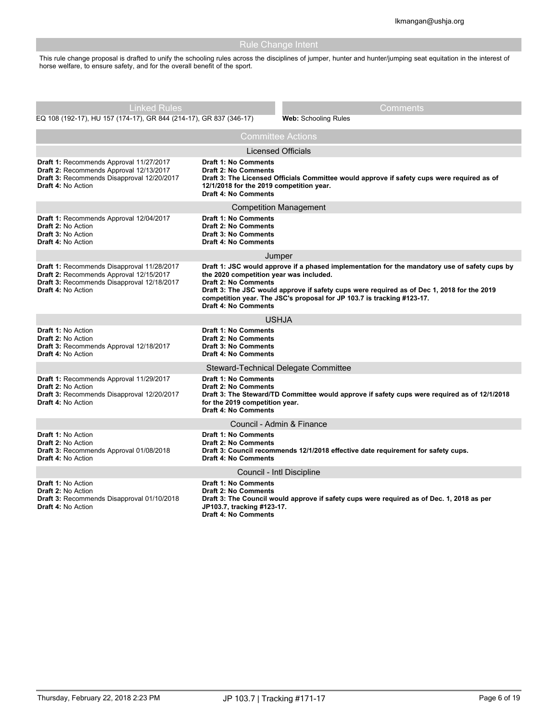| <b>Rule Change Intent</b>                                                                                                                                                                                                                      |                                                                                                                                       |                                                                                                                                                                                                                                                                       |  |  |
|------------------------------------------------------------------------------------------------------------------------------------------------------------------------------------------------------------------------------------------------|---------------------------------------------------------------------------------------------------------------------------------------|-----------------------------------------------------------------------------------------------------------------------------------------------------------------------------------------------------------------------------------------------------------------------|--|--|
| This rule change proposal is drafted to unify the schooling rules across the disciplines of jumper, hunter and hunter/jumping seat equitation in the interest of<br>horse welfare, to ensure safety, and for the overall benefit of the sport. |                                                                                                                                       |                                                                                                                                                                                                                                                                       |  |  |
|                                                                                                                                                                                                                                                |                                                                                                                                       |                                                                                                                                                                                                                                                                       |  |  |
| <b>Linked Rules</b>                                                                                                                                                                                                                            |                                                                                                                                       | Comments                                                                                                                                                                                                                                                              |  |  |
| EQ 108 (192-17), HU 157 (174-17), GR 844 (214-17), GR 837 (346-17)                                                                                                                                                                             |                                                                                                                                       | <b>Web: Schooling Rules</b>                                                                                                                                                                                                                                           |  |  |
|                                                                                                                                                                                                                                                |                                                                                                                                       | <b>Committee Actions</b>                                                                                                                                                                                                                                              |  |  |
|                                                                                                                                                                                                                                                |                                                                                                                                       | <b>Licensed Officials</b>                                                                                                                                                                                                                                             |  |  |
| Draft 1: Recommends Approval 11/27/2017<br>Draft 2: Recommends Approval 12/13/2017<br>Draft 3: Recommends Disapproval 12/20/2017<br><b>Draft 4: No Action</b>                                                                                  | <b>Draft 1: No Comments</b><br><b>Draft 2: No Comments</b><br>12/1/2018 for the 2019 competition year.<br><b>Draft 4: No Comments</b> | Draft 3: The Licensed Officials Committee would approve if safety cups were required as of                                                                                                                                                                            |  |  |
|                                                                                                                                                                                                                                                |                                                                                                                                       | <b>Competition Management</b>                                                                                                                                                                                                                                         |  |  |
| Draft 1: Recommends Approval 12/04/2017<br>Draft 2: No Action<br><b>Draft 3: No Action</b><br>Draft 4: No Action                                                                                                                               | Draft 1: No Comments<br><b>Draft 2: No Comments</b><br><b>Draft 3: No Comments</b><br><b>Draft 4: No Comments</b>                     |                                                                                                                                                                                                                                                                       |  |  |
|                                                                                                                                                                                                                                                |                                                                                                                                       | Jumper                                                                                                                                                                                                                                                                |  |  |
| Draft 1: Recommends Disapproval 11/28/2017<br>Draft 2: Recommends Approval 12/15/2017<br>Draft 3: Recommends Disapproval 12/18/2017<br>Draft 4: No Action                                                                                      | the 2020 competition year was included.<br><b>Draft 2: No Comments</b><br><b>Draft 4: No Comments</b>                                 | Draft 1: JSC would approve if a phased implementation for the mandatory use of safety cups by<br>Draft 3: The JSC would approve if safety cups were required as of Dec 1, 2018 for the 2019<br>competition year. The JSC's proposal for JP 103.7 is tracking #123-17. |  |  |
|                                                                                                                                                                                                                                                |                                                                                                                                       | <b>USHJA</b>                                                                                                                                                                                                                                                          |  |  |
| <b>Draft 1: No Action</b><br><b>Draft 2: No Action</b><br>Draft 3: Recommends Approval 12/18/2017<br><b>Draft 4: No Action</b>                                                                                                                 | <b>Draft 1: No Comments</b><br><b>Draft 2: No Comments</b><br><b>Draft 3: No Comments</b><br><b>Draft 4: No Comments</b>              |                                                                                                                                                                                                                                                                       |  |  |
|                                                                                                                                                                                                                                                |                                                                                                                                       | Steward-Technical Delegate Committee                                                                                                                                                                                                                                  |  |  |
| Draft 1: Recommends Approval 11/29/2017<br>Draft 2: No Action<br>Draft 3: Recommends Disapproval 12/20/2017<br><b>Draft 4: No Action</b>                                                                                                       | Draft 1: No Comments<br><b>Draft 2: No Comments</b><br>for the 2019 competition year.<br><b>Draft 4: No Comments</b>                  | Draft 3: The Steward/TD Committee would approve if safety cups were required as of 12/1/2018                                                                                                                                                                          |  |  |
| Council - Admin & Finance                                                                                                                                                                                                                      |                                                                                                                                       |                                                                                                                                                                                                                                                                       |  |  |
| <b>Draft 1: No Action</b><br>Draft 2: No Action<br>Draft 3: Recommends Approval 01/08/2018<br><b>Draft 4: No Action</b>                                                                                                                        | <b>Draft 1: No Comments</b><br><b>Draft 2: No Comments</b><br><b>Draft 4: No Comments</b>                                             | Draft 3: Council recommends 12/1/2018 effective date requirement for safety cups.                                                                                                                                                                                     |  |  |
|                                                                                                                                                                                                                                                |                                                                                                                                       | Council - Intl Discipline                                                                                                                                                                                                                                             |  |  |
| <b>Draft 1: No Action</b><br><b>Draft 2: No Action</b><br>Draft 3: Recommends Disapproval 01/10/2018<br><b>Draft 4: No Action</b>                                                                                                              | <b>Draft 1: No Comments</b><br><b>Draft 2: No Comments</b><br>JP103.7, tracking #123-17.<br><b>Draft 4: No Comments</b>               | Draft 3: The Council would approve if safety cups were required as of Dec. 1, 2018 as per                                                                                                                                                                             |  |  |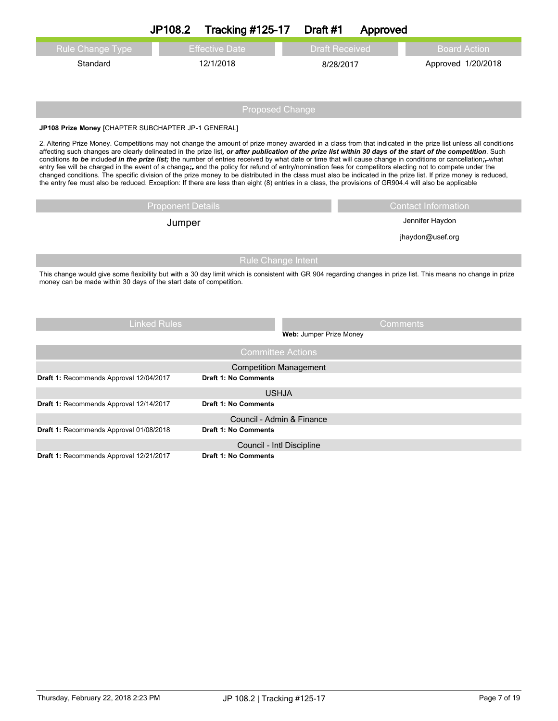|                                                                                                                                                                                                                                                                                                                                                                                                                                                                                                                                                                                                                                                                                                                                                                                                                                                                                                                                                                                       | JP108.2                  | <b>Tracking #125-17</b>                                  | Draft #1                | Approved        |                            |  |
|---------------------------------------------------------------------------------------------------------------------------------------------------------------------------------------------------------------------------------------------------------------------------------------------------------------------------------------------------------------------------------------------------------------------------------------------------------------------------------------------------------------------------------------------------------------------------------------------------------------------------------------------------------------------------------------------------------------------------------------------------------------------------------------------------------------------------------------------------------------------------------------------------------------------------------------------------------------------------------------|--------------------------|----------------------------------------------------------|-------------------------|-----------------|----------------------------|--|
| <b>Rule Change Type</b>                                                                                                                                                                                                                                                                                                                                                                                                                                                                                                                                                                                                                                                                                                                                                                                                                                                                                                                                                               |                          | <b>Effective Date</b>                                    | <b>Draft Received</b>   |                 | <b>Board Action</b>        |  |
| Standard                                                                                                                                                                                                                                                                                                                                                                                                                                                                                                                                                                                                                                                                                                                                                                                                                                                                                                                                                                              |                          | 12/1/2018                                                | 8/28/2017               |                 | Approved 1/20/2018         |  |
|                                                                                                                                                                                                                                                                                                                                                                                                                                                                                                                                                                                                                                                                                                                                                                                                                                                                                                                                                                                       |                          | <b>Proposed Change</b>                                   |                         |                 |                            |  |
| JP108 Prize Money [CHAPTER SUBCHAPTER JP-1 GENERAL]                                                                                                                                                                                                                                                                                                                                                                                                                                                                                                                                                                                                                                                                                                                                                                                                                                                                                                                                   |                          |                                                          |                         |                 |                            |  |
| 2. Altering Prize Money. Competitions may not change the amount of prize money awarded in a class from that indicated in the prize list unless all conditions<br>affecting such changes are clearly delineated in the prize list, or after publication of the prize list within 30 days of the start of the competition. Such<br>conditions to be included in the prize list; the number of entries received by what date or time that will cause change in conditions or cancellation;-what<br>entry fee will be charged in the event of a change; and the policy for refund of entry/nomination fees for competitors electing not to compete under the<br>changed conditions. The specific division of the prize money to be distributed in the class must also be indicated in the prize list. If prize money is reduced,<br>the entry fee must also be reduced. Exception: If there are less than eight (8) entries in a class, the provisions of GR904.4 will also be applicable |                          |                                                          |                         |                 |                            |  |
|                                                                                                                                                                                                                                                                                                                                                                                                                                                                                                                                                                                                                                                                                                                                                                                                                                                                                                                                                                                       | <b>Proponent Details</b> |                                                          |                         |                 | <b>Contact Information</b> |  |
|                                                                                                                                                                                                                                                                                                                                                                                                                                                                                                                                                                                                                                                                                                                                                                                                                                                                                                                                                                                       | Jumper                   |                                                          |                         | Jennifer Haydon |                            |  |
|                                                                                                                                                                                                                                                                                                                                                                                                                                                                                                                                                                                                                                                                                                                                                                                                                                                                                                                                                                                       |                          |                                                          |                         |                 | jhaydon@usef.org           |  |
| <b>Rule Change Intent</b><br>This change would give some flexibility but with a 30 day limit which is consistent with GR 904 regarding changes in prize list. This means no change in prize<br>money can be made within 30 days of the start date of competition.                                                                                                                                                                                                                                                                                                                                                                                                                                                                                                                                                                                                                                                                                                                     |                          |                                                          |                         |                 |                            |  |
|                                                                                                                                                                                                                                                                                                                                                                                                                                                                                                                                                                                                                                                                                                                                                                                                                                                                                                                                                                                       | <b>Linked Rules</b>      |                                                          | Web: Jumper Prize Money | <b>Comments</b> |                            |  |
|                                                                                                                                                                                                                                                                                                                                                                                                                                                                                                                                                                                                                                                                                                                                                                                                                                                                                                                                                                                       |                          | <b>Committee Actions</b>                                 |                         |                 |                            |  |
|                                                                                                                                                                                                                                                                                                                                                                                                                                                                                                                                                                                                                                                                                                                                                                                                                                                                                                                                                                                       |                          | <b>Competition Management</b>                            |                         |                 |                            |  |
| Draft 1: Recommends Approval 12/04/2017                                                                                                                                                                                                                                                                                                                                                                                                                                                                                                                                                                                                                                                                                                                                                                                                                                                                                                                                               |                          | <b>Draft 1: No Comments</b>                              |                         |                 |                            |  |
|                                                                                                                                                                                                                                                                                                                                                                                                                                                                                                                                                                                                                                                                                                                                                                                                                                                                                                                                                                                       |                          | <b>USHJA</b>                                             |                         |                 |                            |  |
| Draft 1: Recommends Approval 12/14/2017                                                                                                                                                                                                                                                                                                                                                                                                                                                                                                                                                                                                                                                                                                                                                                                                                                                                                                                                               |                          | <b>Draft 1: No Comments</b>                              |                         |                 |                            |  |
|                                                                                                                                                                                                                                                                                                                                                                                                                                                                                                                                                                                                                                                                                                                                                                                                                                                                                                                                                                                       |                          | Council - Admin & Finance                                |                         |                 |                            |  |
| Draft 1: Recommends Approval 01/08/2018                                                                                                                                                                                                                                                                                                                                                                                                                                                                                                                                                                                                                                                                                                                                                                                                                                                                                                                                               |                          | <b>Draft 1: No Comments</b>                              |                         |                 |                            |  |
|                                                                                                                                                                                                                                                                                                                                                                                                                                                                                                                                                                                                                                                                                                                                                                                                                                                                                                                                                                                       |                          | Council - Intl Discipline<br><b>Draft 1: No Comments</b> |                         |                 |                            |  |
| Draft 1: Recommends Approval 12/21/2017                                                                                                                                                                                                                                                                                                                                                                                                                                                                                                                                                                                                                                                                                                                                                                                                                                                                                                                                               |                          |                                                          |                         |                 |                            |  |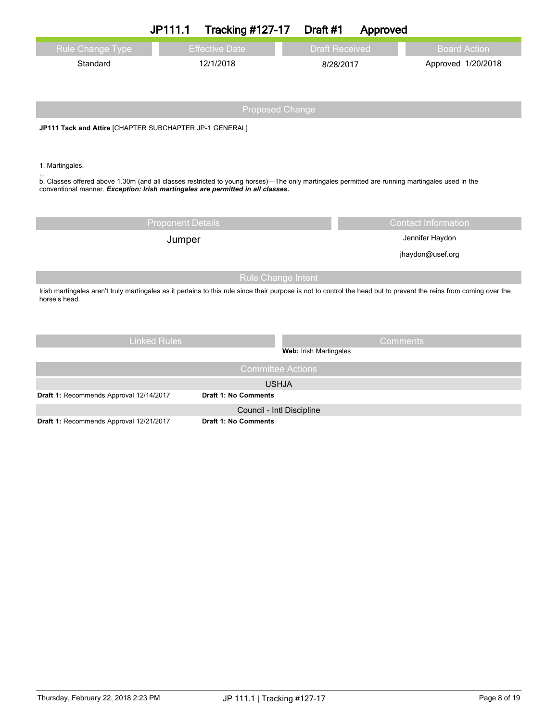|                                                                                                                                                                                      | JP111.1                  | <b>Tracking #127-17</b> |                           | Draft #1              | Approved        |                            |
|--------------------------------------------------------------------------------------------------------------------------------------------------------------------------------------|--------------------------|-------------------------|---------------------------|-----------------------|-----------------|----------------------------|
| <b>Rule Change Type</b>                                                                                                                                                              |                          | <b>Effective Date</b>   |                           | <b>Draft Received</b> |                 | <b>Board Action</b>        |
| Standard                                                                                                                                                                             |                          | 12/1/2018               |                           | 8/28/2017             |                 | Approved 1/20/2018         |
|                                                                                                                                                                                      |                          |                         |                           |                       |                 |                            |
|                                                                                                                                                                                      |                          |                         |                           |                       |                 |                            |
|                                                                                                                                                                                      |                          |                         | <b>Proposed Change</b>    |                       |                 |                            |
| JP111 Tack and Attire [CHAPTER SUBCHAPTER JP-1 GENERAL]                                                                                                                              |                          |                         |                           |                       |                 |                            |
|                                                                                                                                                                                      |                          |                         |                           |                       |                 |                            |
| 1. Martingales.                                                                                                                                                                      |                          |                         |                           |                       |                 |                            |
| b. Classes offered above 1.30m (and all classes restricted to young horses)—The only martingales permitted are running martingales used in the                                       |                          |                         |                           |                       |                 |                            |
| conventional manner. Exception: Irish martingales are permitted in all classes.                                                                                                      |                          |                         |                           |                       |                 |                            |
|                                                                                                                                                                                      |                          |                         |                           |                       |                 |                            |
|                                                                                                                                                                                      | <b>Proponent Details</b> |                         |                           |                       |                 | <b>Contact Information</b> |
|                                                                                                                                                                                      | Jumper                   |                         |                           | Jennifer Haydon       |                 |                            |
|                                                                                                                                                                                      |                          |                         |                           |                       |                 | jhaydon@usef.org           |
|                                                                                                                                                                                      |                          |                         | <b>Rule Change Intent</b> |                       |                 |                            |
| Irish martingales aren't truly martingales as it pertains to this rule since their purpose is not to control the head but to prevent the reins from coming over the<br>horse's head. |                          |                         |                           |                       |                 |                            |
|                                                                                                                                                                                      |                          |                         |                           |                       |                 |                            |
|                                                                                                                                                                                      |                          |                         |                           |                       |                 |                            |
|                                                                                                                                                                                      | <b>Linked Rules</b>      |                         |                           |                       | <b>Comments</b> |                            |
|                                                                                                                                                                                      |                          |                         | Web: Irish Martingales    |                       |                 |                            |
|                                                                                                                                                                                      |                          |                         | <b>Committee Actions</b>  |                       |                 |                            |
|                                                                                                                                                                                      |                          |                         | <b>USHJA</b>              |                       |                 |                            |

**Draft 1:** Recommends Approval 12/14/2017 **Draft 1: No Comments**

Council - Intl Discipline

**Draft 1:** Recommends Approval 12/21/2017 **Draft 1: No Comments**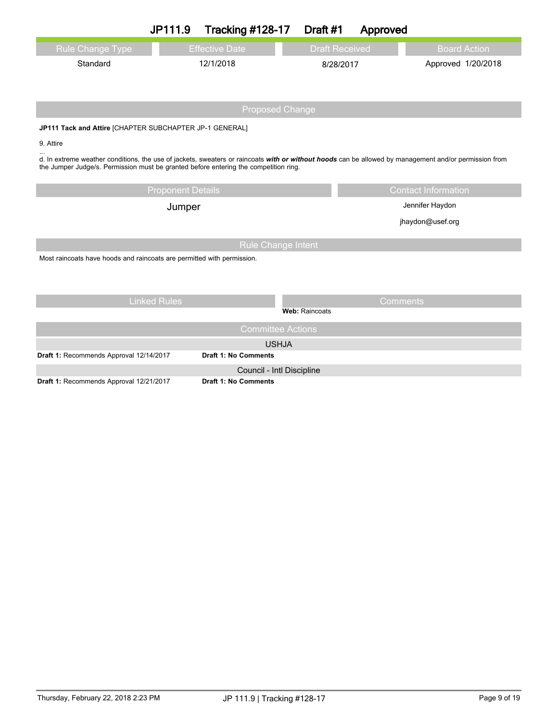|                                                                                                                                                                                                                                               | JP111.9                  | <b>Tracking #128-17</b>                                  | Draft #1       | Approved              |                            |  |
|-----------------------------------------------------------------------------------------------------------------------------------------------------------------------------------------------------------------------------------------------|--------------------------|----------------------------------------------------------|----------------|-----------------------|----------------------------|--|
| Rule Change Type                                                                                                                                                                                                                              |                          | <b>Effective Date</b>                                    |                | <b>Draft Received</b> | <b>Board Action</b>        |  |
| Standard                                                                                                                                                                                                                                      |                          | 12/1/2018                                                |                | 8/28/2017             | Approved 1/20/2018         |  |
|                                                                                                                                                                                                                                               |                          |                                                          |                |                       |                            |  |
|                                                                                                                                                                                                                                               |                          |                                                          |                |                       |                            |  |
|                                                                                                                                                                                                                                               |                          | <b>Proposed Change</b>                                   |                |                       |                            |  |
| JP111 Tack and Attire [CHAPTER SUBCHAPTER JP-1 GENERAL]                                                                                                                                                                                       |                          |                                                          |                |                       |                            |  |
| 9. Attire                                                                                                                                                                                                                                     |                          |                                                          |                |                       |                            |  |
| d. In extreme weather conditions, the use of jackets, sweaters or raincoats with or without hoods can be allowed by management and/or permission from<br>the Jumper Judge/s. Permission must be granted before entering the competition ring. |                          |                                                          |                |                       |                            |  |
|                                                                                                                                                                                                                                               | <b>Proponent Details</b> |                                                          |                |                       | <b>Contact Information</b> |  |
|                                                                                                                                                                                                                                               | Jumper                   |                                                          |                | Jennifer Haydon       |                            |  |
|                                                                                                                                                                                                                                               |                          |                                                          |                | jhaydon@usef.org      |                            |  |
|                                                                                                                                                                                                                                               |                          | <b>Rule Change Intent</b>                                |                |                       |                            |  |
| Most raincoats have hoods and raincoats are permitted with permission.                                                                                                                                                                        |                          |                                                          |                |                       |                            |  |
|                                                                                                                                                                                                                                               |                          |                                                          |                |                       |                            |  |
|                                                                                                                                                                                                                                               |                          |                                                          |                |                       |                            |  |
|                                                                                                                                                                                                                                               | <b>Linked Rules</b>      |                                                          |                |                       | <b>Comments</b>            |  |
|                                                                                                                                                                                                                                               |                          |                                                          | Web: Raincoats |                       |                            |  |
|                                                                                                                                                                                                                                               |                          | <b>Committee Actions</b>                                 |                |                       |                            |  |
|                                                                                                                                                                                                                                               |                          | <b>USHJA</b>                                             |                |                       |                            |  |
| Draft 1: Recommends Approval 12/14/2017                                                                                                                                                                                                       |                          | <b>Draft 1: No Comments</b>                              |                |                       |                            |  |
| Draft 1: Recommends Approval 12/21/2017                                                                                                                                                                                                       |                          | Council - Intl Discipline<br><b>Draft 1: No Comments</b> |                |                       |                            |  |
|                                                                                                                                                                                                                                               |                          |                                                          |                |                       |                            |  |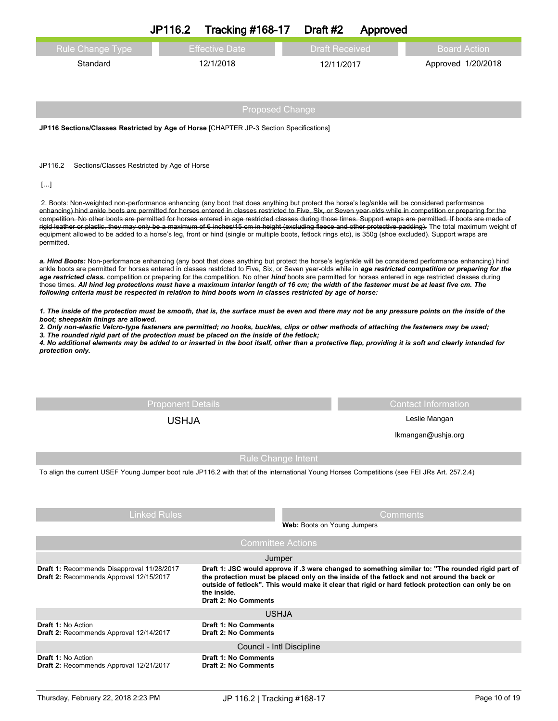| <b>Rule Change Type</b>                                                                                                                                                                                                                                                                                                                                                                                                                                                                                                                                                                                                                                                                                                                                                                                                   | <b>Effective Date</b>       | <b>Draft Received</b>       |               | <b>Board Action</b>        |  |  |  |
|---------------------------------------------------------------------------------------------------------------------------------------------------------------------------------------------------------------------------------------------------------------------------------------------------------------------------------------------------------------------------------------------------------------------------------------------------------------------------------------------------------------------------------------------------------------------------------------------------------------------------------------------------------------------------------------------------------------------------------------------------------------------------------------------------------------------------|-----------------------------|-----------------------------|---------------|----------------------------|--|--|--|
| Standard                                                                                                                                                                                                                                                                                                                                                                                                                                                                                                                                                                                                                                                                                                                                                                                                                  | 12/1/2018                   | 12/11/2017                  |               | Approved 1/20/2018         |  |  |  |
|                                                                                                                                                                                                                                                                                                                                                                                                                                                                                                                                                                                                                                                                                                                                                                                                                           |                             |                             |               |                            |  |  |  |
|                                                                                                                                                                                                                                                                                                                                                                                                                                                                                                                                                                                                                                                                                                                                                                                                                           |                             |                             |               |                            |  |  |  |
|                                                                                                                                                                                                                                                                                                                                                                                                                                                                                                                                                                                                                                                                                                                                                                                                                           |                             | <b>Proposed Change</b>      |               |                            |  |  |  |
| JP116 Sections/Classes Restricted by Age of Horse [CHAPTER JP-3 Section Specifications]                                                                                                                                                                                                                                                                                                                                                                                                                                                                                                                                                                                                                                                                                                                                   |                             |                             |               |                            |  |  |  |
|                                                                                                                                                                                                                                                                                                                                                                                                                                                                                                                                                                                                                                                                                                                                                                                                                           |                             |                             |               |                            |  |  |  |
|                                                                                                                                                                                                                                                                                                                                                                                                                                                                                                                                                                                                                                                                                                                                                                                                                           |                             |                             |               |                            |  |  |  |
| JP116.2<br>Sections/Classes Restricted by Age of Horse                                                                                                                                                                                                                                                                                                                                                                                                                                                                                                                                                                                                                                                                                                                                                                    |                             |                             |               |                            |  |  |  |
| $[]$                                                                                                                                                                                                                                                                                                                                                                                                                                                                                                                                                                                                                                                                                                                                                                                                                      |                             |                             |               |                            |  |  |  |
| 2. Boots: Non-weighted non-performance enhancing (any boot that does anything but protect the horse's leg/ankle will be considered performance<br>enhancing) hind ankle boots are permitted for horses entered in classes restricted to Five, Six, or Seven year-olds while in competition or preparing for the<br>competition. No other boots are permitted for horses entered in age restricted classes during those times. Support wraps are permitted. If boots are made of<br>rigid leather or plastic, they may only be a maximum of 6 inches/15 cm in height (excluding fleece and other protective padding). The total maximum weight of<br>equipment allowed to be added to a horse's leg, front or hind (single or multiple boots, fetlock rings etc), is 350g (shoe excluded). Support wraps are<br>permitted. |                             |                             |               |                            |  |  |  |
| a. Hind Boots: Non-performance enhancing (any boot that does anything but protect the horse's leg/ankle will be considered performance enhancing) hind<br>ankle boots are permitted for horses entered in classes restricted to Five, Six, or Seven year-olds while in age restricted competition or preparing for the<br>age restricted class. competition or preparing for the competition. No other hind boots are permitted for horses entered in age restricted classes during<br>those times. All hind leg protections must have a maximum interior length of 16 cm; the width of the fastener must be at least five cm. The<br>following criteria must be respected in relation to hind boots worn in classes restricted by age of horse:                                                                          |                             |                             |               |                            |  |  |  |
| 1. The inside of the protection must be smooth, that is, the surface must be even and there may not be any pressure points on the inside of the<br>boot; sheepskin linings are allowed.<br>2. Only non-elastic Velcro-type fasteners are permitted; no hooks, buckles, clips or other methods of attaching the fasteners may be used;<br>3. The rounded rigid part of the protection must be placed on the inside of the fetlock;<br>4. No additional elements may be added to or inserted in the boot itself, other than a protective flap, providing it is soft and clearly intended for<br>protection only.                                                                                                                                                                                                            |                             |                             |               |                            |  |  |  |
|                                                                                                                                                                                                                                                                                                                                                                                                                                                                                                                                                                                                                                                                                                                                                                                                                           |                             |                             |               |                            |  |  |  |
|                                                                                                                                                                                                                                                                                                                                                                                                                                                                                                                                                                                                                                                                                                                                                                                                                           |                             |                             |               |                            |  |  |  |
|                                                                                                                                                                                                                                                                                                                                                                                                                                                                                                                                                                                                                                                                                                                                                                                                                           | <b>Proponent Details</b>    |                             |               | <b>Contact Information</b> |  |  |  |
|                                                                                                                                                                                                                                                                                                                                                                                                                                                                                                                                                                                                                                                                                                                                                                                                                           | <b>USHJA</b>                |                             | Leslie Mangan |                            |  |  |  |
|                                                                                                                                                                                                                                                                                                                                                                                                                                                                                                                                                                                                                                                                                                                                                                                                                           |                             |                             |               | Ikmangan@ushja.org         |  |  |  |
|                                                                                                                                                                                                                                                                                                                                                                                                                                                                                                                                                                                                                                                                                                                                                                                                                           |                             | <b>Rule Change Intent</b>   |               |                            |  |  |  |
| To align the current USEF Young Jumper boot rule JP116.2 with that of the international Young Horses Competitions (see FEI JRs Art. 257.2.4)                                                                                                                                                                                                                                                                                                                                                                                                                                                                                                                                                                                                                                                                              |                             |                             |               |                            |  |  |  |
|                                                                                                                                                                                                                                                                                                                                                                                                                                                                                                                                                                                                                                                                                                                                                                                                                           |                             |                             |               |                            |  |  |  |
|                                                                                                                                                                                                                                                                                                                                                                                                                                                                                                                                                                                                                                                                                                                                                                                                                           |                             |                             |               |                            |  |  |  |
| <b>Linked Rules</b>                                                                                                                                                                                                                                                                                                                                                                                                                                                                                                                                                                                                                                                                                                                                                                                                       |                             | Web: Boots on Young Jumpers |               | <b>Comments</b>            |  |  |  |
|                                                                                                                                                                                                                                                                                                                                                                                                                                                                                                                                                                                                                                                                                                                                                                                                                           |                             | <b>Committee Actions</b>    |               |                            |  |  |  |
|                                                                                                                                                                                                                                                                                                                                                                                                                                                                                                                                                                                                                                                                                                                                                                                                                           |                             | Jumper                      |               |                            |  |  |  |
| Draft 1: Recommends Disapproval 11/28/2017<br>Draft 1: JSC would approve if .3 were changed to something similar to: "The rounded rigid part of<br>Draft 2: Recommends Approval 12/15/2017<br>the protection must be placed only on the inside of the fetlock and not around the back or<br>outside of fetlock". This would make it clear that rigid or hard fetlock protection can only be on<br>the inside.                                                                                                                                                                                                                                                                                                                                                                                                             |                             |                             |               |                            |  |  |  |
|                                                                                                                                                                                                                                                                                                                                                                                                                                                                                                                                                                                                                                                                                                                                                                                                                           | <b>Draft 2: No Comments</b> | <b>USHJA</b>                |               |                            |  |  |  |
| <b>Draft 1: No Action</b>                                                                                                                                                                                                                                                                                                                                                                                                                                                                                                                                                                                                                                                                                                                                                                                                 | <b>Draft 1: No Comments</b> |                             |               |                            |  |  |  |
| Draft 2: Recommends Approval 12/14/2017                                                                                                                                                                                                                                                                                                                                                                                                                                                                                                                                                                                                                                                                                                                                                                                   | <b>Draft 2: No Comments</b> |                             |               |                            |  |  |  |
| <b>Draft 1: No Action</b>                                                                                                                                                                                                                                                                                                                                                                                                                                                                                                                                                                                                                                                                                                                                                                                                 | <b>Draft 1: No Comments</b> | Council - Intl Discipline   |               |                            |  |  |  |
| Draft 2: Recommends Approval 12/21/2017                                                                                                                                                                                                                                                                                                                                                                                                                                                                                                                                                                                                                                                                                                                                                                                   | <b>Draft 2: No Comments</b> |                             |               |                            |  |  |  |

**JP116.2 Tracking #168-17 Draft #2 Approved**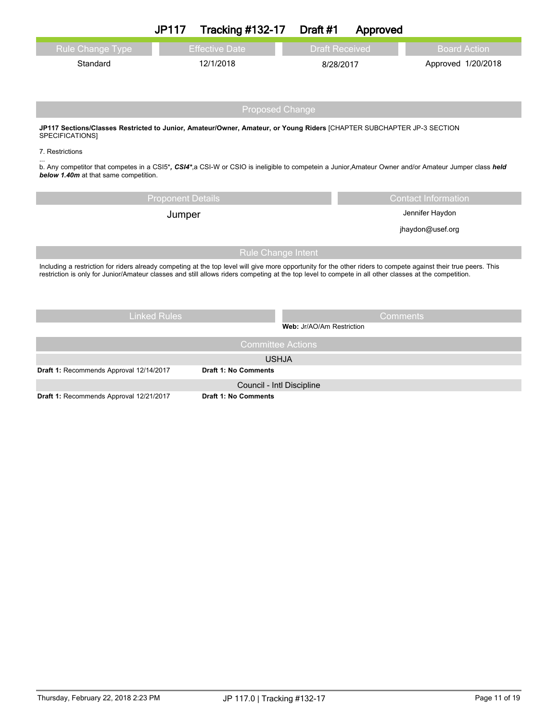|                                                                                                                                                                                                                                                                                                                          | <b>JP117</b>             | <b>Tracking #132-17</b>                                  | Draft #1                  | Approved              |                            |  |
|--------------------------------------------------------------------------------------------------------------------------------------------------------------------------------------------------------------------------------------------------------------------------------------------------------------------------|--------------------------|----------------------------------------------------------|---------------------------|-----------------------|----------------------------|--|
| Rule Change Type                                                                                                                                                                                                                                                                                                         |                          | <b>Effective Date</b>                                    |                           | <b>Draft Received</b> | <b>Board Action</b>        |  |
| Standard                                                                                                                                                                                                                                                                                                                 |                          | 12/1/2018                                                |                           | 8/28/2017             | Approved 1/20/2018         |  |
|                                                                                                                                                                                                                                                                                                                          |                          |                                                          |                           |                       |                            |  |
|                                                                                                                                                                                                                                                                                                                          |                          | <b>Proposed Change</b>                                   |                           |                       |                            |  |
| JP117 Sections/Classes Restricted to Junior, Amateur/Owner, Amateur, or Young Riders [CHAPTER SUBCHAPTER JP-3 SECTION<br>SPECIFICATIONS]                                                                                                                                                                                 |                          |                                                          |                           |                       |                            |  |
| 7. Restrictions                                                                                                                                                                                                                                                                                                          |                          |                                                          |                           |                       |                            |  |
| b. Any competitor that competes in a CSI5*, CSI4*, a CSI-W or CSIO is ineligible to competein a Junior, Amateur Owner and/or Amateur Jumper class held<br>below 1.40m at that same competition.                                                                                                                          |                          |                                                          |                           |                       |                            |  |
|                                                                                                                                                                                                                                                                                                                          | <b>Proponent Details</b> |                                                          |                           |                       | <b>Contact Information</b> |  |
|                                                                                                                                                                                                                                                                                                                          | Jumper                   |                                                          |                           | Jennifer Haydon       |                            |  |
|                                                                                                                                                                                                                                                                                                                          |                          |                                                          |                           | jhaydon@usef.org      |                            |  |
|                                                                                                                                                                                                                                                                                                                          |                          | <b>Rule Change Intent</b>                                |                           |                       |                            |  |
| Including a restriction for riders already competing at the top level will give more opportunity for the other riders to compete against their true peers. This<br>restriction is only for Junior/Amateur classes and still allows riders competing at the top level to compete in all other classes at the competition. |                          |                                                          |                           |                       |                            |  |
|                                                                                                                                                                                                                                                                                                                          |                          |                                                          |                           |                       |                            |  |
|                                                                                                                                                                                                                                                                                                                          |                          |                                                          |                           |                       |                            |  |
|                                                                                                                                                                                                                                                                                                                          | <b>Linked Rules</b>      |                                                          |                           | <b>Comments</b>       |                            |  |
|                                                                                                                                                                                                                                                                                                                          |                          |                                                          | Web: Jr/AO/Am Restriction |                       |                            |  |
|                                                                                                                                                                                                                                                                                                                          |                          | <b>Committee Actions</b>                                 |                           |                       |                            |  |
|                                                                                                                                                                                                                                                                                                                          |                          | <b>USHJA</b>                                             |                           |                       |                            |  |
| Draft 1: Recommends Approval 12/14/2017                                                                                                                                                                                                                                                                                  |                          | <b>Draft 1: No Comments</b>                              |                           |                       |                            |  |
| Draft 1: Recommends Approval 12/21/2017                                                                                                                                                                                                                                                                                  |                          | Council - Intl Discipline<br><b>Draft 1: No Comments</b> |                           |                       |                            |  |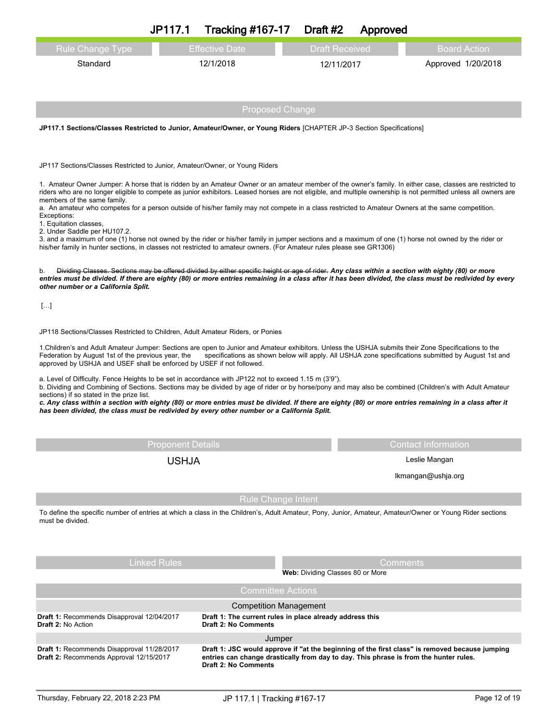|                                                                                                                                                                                                                                                                                                                                                                | JP117.1                  | <b>Tracking #167-17</b>                                  |                               | Draft #2                         | Approved |                                                                                                     |  |
|----------------------------------------------------------------------------------------------------------------------------------------------------------------------------------------------------------------------------------------------------------------------------------------------------------------------------------------------------------------|--------------------------|----------------------------------------------------------|-------------------------------|----------------------------------|----------|-----------------------------------------------------------------------------------------------------|--|
| <b>Rule Change Type</b>                                                                                                                                                                                                                                                                                                                                        |                          | <b>Effective Date</b>                                    |                               | <b>Draft Received</b>            |          | <b>Board Action</b>                                                                                 |  |
| Standard                                                                                                                                                                                                                                                                                                                                                       |                          | 12/1/2018                                                |                               | 12/11/2017                       |          | Approved 1/20/2018                                                                                  |  |
|                                                                                                                                                                                                                                                                                                                                                                |                          |                                                          |                               |                                  |          |                                                                                                     |  |
|                                                                                                                                                                                                                                                                                                                                                                |                          |                                                          |                               |                                  |          |                                                                                                     |  |
|                                                                                                                                                                                                                                                                                                                                                                |                          |                                                          | <b>Proposed Change</b>        |                                  |          |                                                                                                     |  |
| JP117.1 Sections/Classes Restricted to Junior, Amateur/Owner, or Young Riders [CHAPTER JP-3 Section Specifications]                                                                                                                                                                                                                                            |                          |                                                          |                               |                                  |          |                                                                                                     |  |
|                                                                                                                                                                                                                                                                                                                                                                |                          |                                                          |                               |                                  |          |                                                                                                     |  |
| JP117 Sections/Classes Restricted to Junior, Amateur/Owner, or Young Riders                                                                                                                                                                                                                                                                                    |                          |                                                          |                               |                                  |          |                                                                                                     |  |
| 1. Amateur Owner Jumper: A horse that is ridden by an Amateur Owner or an amateur member of the owner's family. In either case, classes are restricted to                                                                                                                                                                                                      |                          |                                                          |                               |                                  |          |                                                                                                     |  |
| riders who are no longer eligible to compete as junior exhibitors. Leased horses are not eligible, and multiple ownership is not permitted unless all owners are<br>members of the same family.                                                                                                                                                                |                          |                                                          |                               |                                  |          |                                                                                                     |  |
| a. An amateur who competes for a person outside of his/her family may not compete in a class restricted to Amateur Owners at the same competition.<br>Exceptions:                                                                                                                                                                                              |                          |                                                          |                               |                                  |          |                                                                                                     |  |
| 1. Equitation classes,<br>2. Under Saddle per HU107.2.                                                                                                                                                                                                                                                                                                         |                          |                                                          |                               |                                  |          |                                                                                                     |  |
| 3. and a maximum of one (1) horse not owned by the rider or his/her family in jumper sections and a maximum of one (1) horse not owned by the rider or<br>his/her family in hunter sections, in classes not restricted to amateur owners. (For Amateur rules please see GR1306)                                                                                |                          |                                                          |                               |                                  |          |                                                                                                     |  |
|                                                                                                                                                                                                                                                                                                                                                                |                          |                                                          |                               |                                  |          |                                                                                                     |  |
| Dividing Classes. Sections may be offered divided by either specific height or age of rider. Any class within a section with eighty (80) or more<br>b.<br>entries must be divided. If there are eighty (80) or more entries remaining in a class after it has been divided, the class must be redivided by every<br>other number or a California Split.        |                          |                                                          |                               |                                  |          |                                                                                                     |  |
|                                                                                                                                                                                                                                                                                                                                                                |                          |                                                          |                               |                                  |          |                                                                                                     |  |
| $[]$                                                                                                                                                                                                                                                                                                                                                           |                          |                                                          |                               |                                  |          |                                                                                                     |  |
| JP118 Sections/Classes Restricted to Children, Adult Amateur Riders, or Ponies                                                                                                                                                                                                                                                                                 |                          |                                                          |                               |                                  |          |                                                                                                     |  |
| 1. Children's and Adult Amateur Jumper: Sections are open to Junior and Amateur exhibitors. Unless the USHJA submits their Zone Specifications to the                                                                                                                                                                                                          |                          |                                                          |                               |                                  |          |                                                                                                     |  |
| Federation by August 1st of the previous year, the<br>approved by USHJA and USEF shall be enforced by USEF if not followed.                                                                                                                                                                                                                                    |                          |                                                          |                               |                                  |          | specifications as shown below will apply. All USHJA zone specifications submitted by August 1st and |  |
| a. Level of Difficulty. Fence Heights to be set in accordance with JP122 not to exceed 1.15 m (3'9").                                                                                                                                                                                                                                                          |                          |                                                          |                               |                                  |          |                                                                                                     |  |
| b. Dividing and Combining of Sections. Sections may be divided by age of rider or by horse/pony and may also be combined (Children's with Adult Amateur<br>sections) if so stated in the prize list.<br>c. Any class within a section with eighty (80) or more entries must be divided. If there are eighty (80) or more entries remaining in a class after it |                          |                                                          |                               |                                  |          |                                                                                                     |  |
| has been divided, the class must be redivided by every other number or a California Split.                                                                                                                                                                                                                                                                     |                          |                                                          |                               |                                  |          |                                                                                                     |  |
|                                                                                                                                                                                                                                                                                                                                                                |                          |                                                          |                               |                                  |          |                                                                                                     |  |
|                                                                                                                                                                                                                                                                                                                                                                | <b>Proponent Details</b> |                                                          |                               |                                  |          | <b>Contact Information</b>                                                                          |  |
|                                                                                                                                                                                                                                                                                                                                                                | <b>USHJA</b>             |                                                          |                               | Leslie Mangan                    |          |                                                                                                     |  |
|                                                                                                                                                                                                                                                                                                                                                                |                          |                                                          |                               |                                  |          | Ikmangan@ushja.org                                                                                  |  |
|                                                                                                                                                                                                                                                                                                                                                                |                          |                                                          | Rule Change Intent            |                                  |          |                                                                                                     |  |
| To define the specific number of entries at which a class in the Children's, Adult Amateur, Pony, Junior, Amateur, Amateur/Owner or Young Rider sections<br>must be divided                                                                                                                                                                                    |                          |                                                          |                               |                                  |          |                                                                                                     |  |
|                                                                                                                                                                                                                                                                                                                                                                |                          |                                                          |                               |                                  |          |                                                                                                     |  |
|                                                                                                                                                                                                                                                                                                                                                                |                          |                                                          |                               |                                  |          |                                                                                                     |  |
|                                                                                                                                                                                                                                                                                                                                                                | <b>Linked Rules</b>      |                                                          |                               |                                  | Comments |                                                                                                     |  |
|                                                                                                                                                                                                                                                                                                                                                                |                          |                                                          |                               | Web: Dividing Classes 80 or More |          |                                                                                                     |  |
|                                                                                                                                                                                                                                                                                                                                                                |                          |                                                          | <b>Committee Actions</b>      |                                  |          |                                                                                                     |  |
| Draft 1: Recommends Disapproval 12/04/2017                                                                                                                                                                                                                                                                                                                     |                          | Draft 1: The current rules in place already address this | <b>Competition Management</b> |                                  |          |                                                                                                     |  |
| <b>Draft 2: No Action</b>                                                                                                                                                                                                                                                                                                                                      |                          | <b>Draft 2: No Comments</b>                              |                               |                                  |          |                                                                                                     |  |
| Draft 1: Recommends Disapproval 11/28/2017                                                                                                                                                                                                                                                                                                                     |                          |                                                          | Jumper                        |                                  |          | Draft 1: JSC would approve if "at the beginning of the first class" is removed because jumping      |  |
| Draft 2: Recommends Approval 12/15/2017                                                                                                                                                                                                                                                                                                                        |                          | <b>Draft 2: No Comments</b>                              |                               |                                  |          | entries can change drastically from day to day. This phrase is from the hunter rules.               |  |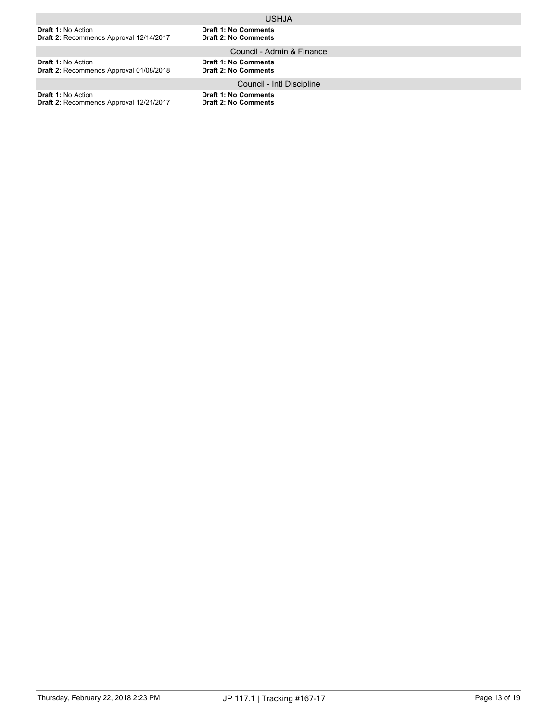|                                                                             | <b>USHJA</b>                                               |
|-----------------------------------------------------------------------------|------------------------------------------------------------|
| <b>Draft 1: No Action</b><br>Draft 2: Recommends Approval 12/14/2017        | <b>Draft 1: No Comments</b><br><b>Draft 2: No Comments</b> |
|                                                                             | Council - Admin & Finance                                  |
| <b>Draft 1: No Action</b><br><b>Draft 2: Recommends Approval 01/08/2018</b> | <b>Draft 1: No Comments</b><br><b>Draft 2: No Comments</b> |
|                                                                             | Council - Intl Discipline                                  |
| .                                                                           | .                                                          |

**Draft 1:** No Action **Draft 2:** Recommends Approval 12/21/2017 **Draft 1: No Comments**

**Draft 2: No Comments**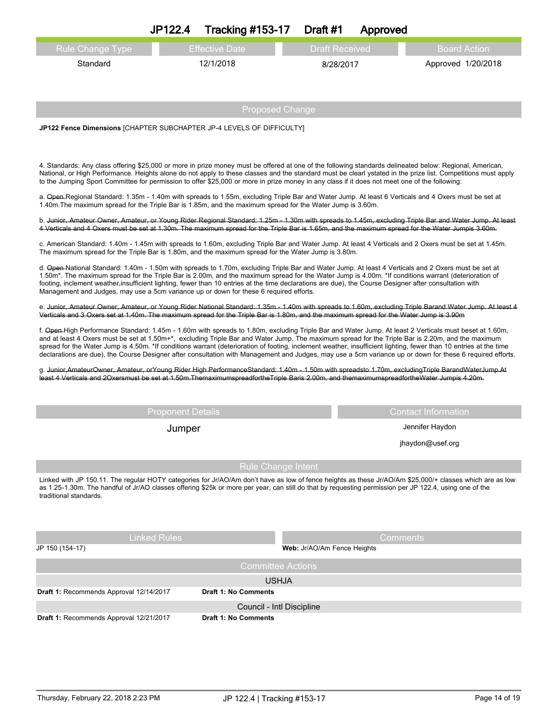|                                                                                                                                                                                                                                                                                                                                                                                                                                                                                                                                                                                                                                               | JP122.4                  | <b>Tracking #153-17</b>              | Draft #1                    | Approved              |                                                                                                                                                          |  |
|-----------------------------------------------------------------------------------------------------------------------------------------------------------------------------------------------------------------------------------------------------------------------------------------------------------------------------------------------------------------------------------------------------------------------------------------------------------------------------------------------------------------------------------------------------------------------------------------------------------------------------------------------|--------------------------|--------------------------------------|-----------------------------|-----------------------|----------------------------------------------------------------------------------------------------------------------------------------------------------|--|
| Rule Change Type                                                                                                                                                                                                                                                                                                                                                                                                                                                                                                                                                                                                                              |                          | <b>Effective Date</b>                |                             | <b>Draft Received</b> | <b>Board Action</b>                                                                                                                                      |  |
| Standard                                                                                                                                                                                                                                                                                                                                                                                                                                                                                                                                                                                                                                      |                          | 12/1/2018                            |                             | 8/28/2017             | Approved 1/20/2018                                                                                                                                       |  |
|                                                                                                                                                                                                                                                                                                                                                                                                                                                                                                                                                                                                                                               |                          |                                      |                             |                       |                                                                                                                                                          |  |
|                                                                                                                                                                                                                                                                                                                                                                                                                                                                                                                                                                                                                                               |                          |                                      |                             |                       |                                                                                                                                                          |  |
|                                                                                                                                                                                                                                                                                                                                                                                                                                                                                                                                                                                                                                               |                          | <b>Proposed Change</b>               |                             |                       |                                                                                                                                                          |  |
| JP122 Fence Dimensions [CHAPTER SUBCHAPTER JP-4 LEVELS OF DIFFICULTY]                                                                                                                                                                                                                                                                                                                                                                                                                                                                                                                                                                         |                          |                                      |                             |                       |                                                                                                                                                          |  |
|                                                                                                                                                                                                                                                                                                                                                                                                                                                                                                                                                                                                                                               |                          |                                      |                             |                       |                                                                                                                                                          |  |
| 4. Standards: Any class offering \$25,000 or more in prize money must be offered at one of the following standards delineated below: Regional, American,<br>National, or High Performance. Heights alone do not apply to these classes and the standard must be clearl ystated in the prize list. Competitions must apply<br>to the Jumping Sport Committee for permission to offer \$25,000 or more in prize money in any class if it does not meet one of the following:                                                                                                                                                                    |                          |                                      |                             |                       |                                                                                                                                                          |  |
| a. Open-Regional Standard: 1.35m - 1.40m with spreads to 1.55m, excluding Triple Bar and Water Jump. At least 6 Verticals and 4 Oxers must be set at<br>1.40m. The maximum spread for the Triple Bar is 1.85m, and the maximum spread for the Water Jump is 3.60m.                                                                                                                                                                                                                                                                                                                                                                            |                          |                                      |                             |                       |                                                                                                                                                          |  |
| b. Junior, Amateur Owner, Amateur, or Young Rider Regional Standard: 1.25m - 1.30m with spreads to 1.45m, excluding Triple Bar and Water Jump. At least<br>4 Verticals and 4 Oxers must be set at 1.30m. The maximum spread for the Triple Bar is 1.65m, and the maximum spread for the Water Jumpis 3.60m.                                                                                                                                                                                                                                                                                                                                   |                          |                                      |                             |                       |                                                                                                                                                          |  |
| c. American Standard: 1.40m - 1.45m with spreads to 1.60m, excluding Triple Bar and Water Jump. At least 4 Verticals and 2 Oxers must be set at 1.45m.<br>The maximum spread for the Triple Bar is 1.80m, and the maximum spread for the Water Jump is 3.80m.                                                                                                                                                                                                                                                                                                                                                                                 |                          |                                      |                             |                       |                                                                                                                                                          |  |
| d. Open-National Standard: 1.40m - 1.50m with spreads to 1.70m, excluding Triple Bar and Water Jump. At least 4 Verticals and 2 Oxers must be set at<br>1.50m*. The maximum spread for the Triple Bar is 2.00m, and the maximum spread for the Water Jump is 4.00m. *If conditions warrant (deterioration of<br>footing, inclement weather, insufficient lighting, fewer than 10 entries at the time declarations are due), the Course Designer after consultation with<br>Management and Judges, may use a 5cm variance up or down for these 6 required efforts.                                                                             |                          |                                      |                             |                       |                                                                                                                                                          |  |
| Verticals and 3 Oxers set at 1.40m. The maximum spread for the Triple Bar is 1.80m, and the maximum spread for the Water Jump is 3.90m                                                                                                                                                                                                                                                                                                                                                                                                                                                                                                        |                          |                                      |                             |                       | e. Junior, Amateur Owner, Amateur, or Young Rider National Standard: 1.35m - 1.40m with spreads to 1.60m, excluding Triple Barand Water Jump. At least 4 |  |
| f. Open-High Performance Standard: 1.45m - 1.60m with spreads to 1.80m, excluding Triple Bar and Water Jump. At least 2 Verticals must beset at 1.60m,<br>and at least 4 Oxers must be set at 1.50m+*, excluding Triple Bar and Water Jump. The maximum spread for the Triple Bar is 2.20m, and the maximum<br>spread for the Water Jump is 4.50m. *If conditions warrant (deterioration of footing, inclement weather, insufficient lighting, fewer than 10 entries at the time<br>declarations are due), the Course Designer after consultation with Management and Judges, may use a 5cm variance up or down for these 6 required efforts. |                          |                                      |                             |                       |                                                                                                                                                          |  |
| g. Junior,AmateurOwner, Amateur, orYoung Rider High PerformanceStandard: 1.40m - 1.50m with spreadsto 1.70m, excludingTriple BarandWaterJump.At<br>least 4 Verticals and 2Oxersmust be set at 1.50m. Themaximumspreadforthe Triple Baris 2.00m, and themaximumspreadfortheWater Jumpis 4.20m.                                                                                                                                                                                                                                                                                                                                                 |                          |                                      |                             |                       |                                                                                                                                                          |  |
|                                                                                                                                                                                                                                                                                                                                                                                                                                                                                                                                                                                                                                               |                          |                                      |                             |                       |                                                                                                                                                          |  |
|                                                                                                                                                                                                                                                                                                                                                                                                                                                                                                                                                                                                                                               | <b>Proponent Details</b> |                                      |                             |                       | <b>Contact Information</b>                                                                                                                               |  |
|                                                                                                                                                                                                                                                                                                                                                                                                                                                                                                                                                                                                                                               | Jumper                   |                                      |                             |                       | Jennifer Haydon                                                                                                                                          |  |
|                                                                                                                                                                                                                                                                                                                                                                                                                                                                                                                                                                                                                                               |                          |                                      |                             |                       | jhaydon@usef.org                                                                                                                                         |  |
| <b>Rule Change Intent</b>                                                                                                                                                                                                                                                                                                                                                                                                                                                                                                                                                                                                                     |                          |                                      |                             |                       |                                                                                                                                                          |  |
| Linked with JP 150.11. The regular HOTY categories for Jr/AO/Am don't have as low of fence heights as these Jr/AO/Am \$25,000/+ classes which are as low<br>as 1.25-1.30m. The handful of Jr/AO classes offering \$25k or more per year, can still do that by requesting permission per JP 122.4, using one of the<br>traditional standards.                                                                                                                                                                                                                                                                                                  |                          |                                      |                             |                       |                                                                                                                                                          |  |
|                                                                                                                                                                                                                                                                                                                                                                                                                                                                                                                                                                                                                                               |                          |                                      |                             |                       |                                                                                                                                                          |  |
| Linked Rules                                                                                                                                                                                                                                                                                                                                                                                                                                                                                                                                                                                                                                  |                          |                                      |                             |                       | Comments                                                                                                                                                 |  |
| JP 150 (154-17)                                                                                                                                                                                                                                                                                                                                                                                                                                                                                                                                                                                                                               |                          |                                      | Web: Jr/AO/Am Fence Heights |                       |                                                                                                                                                          |  |
|                                                                                                                                                                                                                                                                                                                                                                                                                                                                                                                                                                                                                                               |                          | <b>Committee Actions</b>             |                             |                       |                                                                                                                                                          |  |
| Draft 1: Recommends Approval 12/14/2017                                                                                                                                                                                                                                                                                                                                                                                                                                                                                                                                                                                                       |                          | <b>USHJA</b><br>Draft 1: No Comments |                             |                       |                                                                                                                                                          |  |
|                                                                                                                                                                                                                                                                                                                                                                                                                                                                                                                                                                                                                                               |                          | Council - Intl Discipline            |                             |                       |                                                                                                                                                          |  |
| Draft 1: Recommends Approval 12/21/2017                                                                                                                                                                                                                                                                                                                                                                                                                                                                                                                                                                                                       |                          | <b>Draft 1: No Comments</b>          |                             |                       |                                                                                                                                                          |  |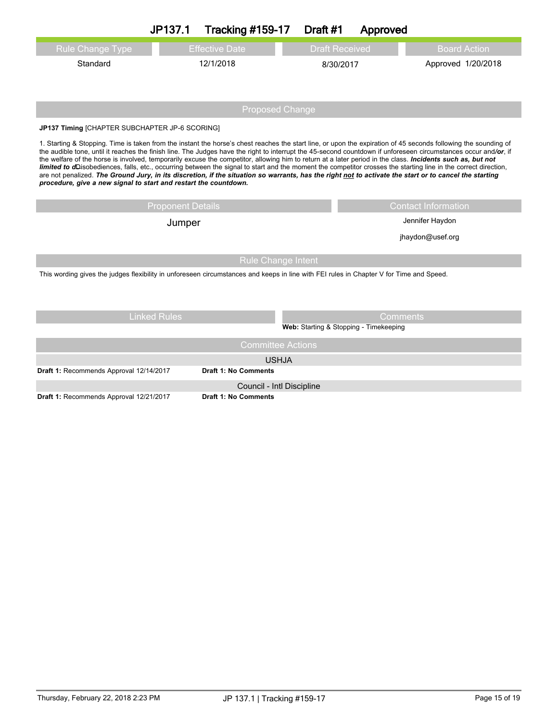|                                                                                                                                                                                                                                                                                                                                                                                                                                                                                                                                                                                                                                                                                                                                                                                                                                                                                                   | JP137.1                  | <b>Tracking #159-17</b>     | Draft #1 | Approved                               |                     |  |  |  |
|---------------------------------------------------------------------------------------------------------------------------------------------------------------------------------------------------------------------------------------------------------------------------------------------------------------------------------------------------------------------------------------------------------------------------------------------------------------------------------------------------------------------------------------------------------------------------------------------------------------------------------------------------------------------------------------------------------------------------------------------------------------------------------------------------------------------------------------------------------------------------------------------------|--------------------------|-----------------------------|----------|----------------------------------------|---------------------|--|--|--|
| Rule Change Type                                                                                                                                                                                                                                                                                                                                                                                                                                                                                                                                                                                                                                                                                                                                                                                                                                                                                  |                          | <b>Effective Date</b>       |          | <b>Draft Received</b>                  | <b>Board Action</b> |  |  |  |
| Standard                                                                                                                                                                                                                                                                                                                                                                                                                                                                                                                                                                                                                                                                                                                                                                                                                                                                                          |                          | 12/1/2018                   |          | 8/30/2017                              | Approved 1/20/2018  |  |  |  |
|                                                                                                                                                                                                                                                                                                                                                                                                                                                                                                                                                                                                                                                                                                                                                                                                                                                                                                   |                          |                             |          |                                        |                     |  |  |  |
|                                                                                                                                                                                                                                                                                                                                                                                                                                                                                                                                                                                                                                                                                                                                                                                                                                                                                                   | <b>Proposed Change</b>   |                             |          |                                        |                     |  |  |  |
|                                                                                                                                                                                                                                                                                                                                                                                                                                                                                                                                                                                                                                                                                                                                                                                                                                                                                                   |                          |                             |          |                                        |                     |  |  |  |
| JP137 Timing [CHAPTER SUBCHAPTER JP-6 SCORING]                                                                                                                                                                                                                                                                                                                                                                                                                                                                                                                                                                                                                                                                                                                                                                                                                                                    |                          |                             |          |                                        |                     |  |  |  |
| 1. Starting & Stopping. Time is taken from the instant the horse's chest reaches the start line, or upon the expiration of 45 seconds following the sounding of<br>the audible tone, until it reaches the finish line. The Judges have the right to interrupt the 45-second countdown if unforeseen circumstances occur and/or, if<br>the welfare of the horse is involved, temporarily excuse the competitor, allowing him to return at a later period in the class. Incidents such as, but not<br>limited to dDisobediences, falls, etc., occurring between the signal to start and the moment the competitor crosses the starting line in the correct direction,<br>are not penalized. The Ground Jury, in its discretion, if the situation so warrants, has the right not to activate the start or to cancel the starting<br>procedure, give a new signal to start and restart the countdown. |                          |                             |          |                                        |                     |  |  |  |
|                                                                                                                                                                                                                                                                                                                                                                                                                                                                                                                                                                                                                                                                                                                                                                                                                                                                                                   | <b>Proponent Details</b> | <b>Contact Information</b>  |          |                                        |                     |  |  |  |
| Jumper                                                                                                                                                                                                                                                                                                                                                                                                                                                                                                                                                                                                                                                                                                                                                                                                                                                                                            |                          |                             |          |                                        | Jennifer Haydon     |  |  |  |
|                                                                                                                                                                                                                                                                                                                                                                                                                                                                                                                                                                                                                                                                                                                                                                                                                                                                                                   |                          |                             |          |                                        | jhaydon@usef.org    |  |  |  |
| <b>Rule Change Intent</b>                                                                                                                                                                                                                                                                                                                                                                                                                                                                                                                                                                                                                                                                                                                                                                                                                                                                         |                          |                             |          |                                        |                     |  |  |  |
| This wording gives the judges flexibility in unforeseen circumstances and keeps in line with FEI rules in Chapter V for Time and Speed.                                                                                                                                                                                                                                                                                                                                                                                                                                                                                                                                                                                                                                                                                                                                                           |                          |                             |          |                                        |                     |  |  |  |
|                                                                                                                                                                                                                                                                                                                                                                                                                                                                                                                                                                                                                                                                                                                                                                                                                                                                                                   | <b>Linked Rules</b>      |                             |          | Comments                               |                     |  |  |  |
|                                                                                                                                                                                                                                                                                                                                                                                                                                                                                                                                                                                                                                                                                                                                                                                                                                                                                                   |                          |                             |          | Web: Starting & Stopping - Timekeeping |                     |  |  |  |
| <b>Committee Actions</b>                                                                                                                                                                                                                                                                                                                                                                                                                                                                                                                                                                                                                                                                                                                                                                                                                                                                          |                          |                             |          |                                        |                     |  |  |  |
|                                                                                                                                                                                                                                                                                                                                                                                                                                                                                                                                                                                                                                                                                                                                                                                                                                                                                                   |                          | <b>USHJA</b>                |          |                                        |                     |  |  |  |
| Draft 1: Recommends Approval 12/14/2017                                                                                                                                                                                                                                                                                                                                                                                                                                                                                                                                                                                                                                                                                                                                                                                                                                                           |                          | <b>Draft 1: No Comments</b> |          |                                        |                     |  |  |  |
|                                                                                                                                                                                                                                                                                                                                                                                                                                                                                                                                                                                                                                                                                                                                                                                                                                                                                                   |                          | Council - Intl Discipline   |          |                                        |                     |  |  |  |
| Draft 1: Recommends Approval 12/21/2017                                                                                                                                                                                                                                                                                                                                                                                                                                                                                                                                                                                                                                                                                                                                                                                                                                                           |                          | <b>Draft 1: No Comments</b> |          |                                        |                     |  |  |  |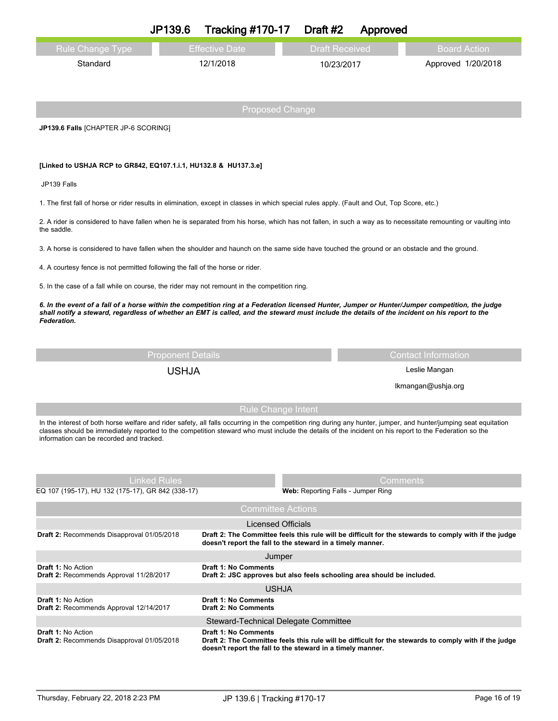|                                                                                                                                                                                                   | JP139.6                  | <b>Tracking #170-17</b>                                                                 | Draft #2 | Approved              |                                                                                                       |  |
|---------------------------------------------------------------------------------------------------------------------------------------------------------------------------------------------------|--------------------------|-----------------------------------------------------------------------------------------|----------|-----------------------|-------------------------------------------------------------------------------------------------------|--|
| <b>Rule Change Type</b>                                                                                                                                                                           |                          | <b>Effective Date</b>                                                                   |          | <b>Draft Received</b> | <b>Board Action</b>                                                                                   |  |
| Standard                                                                                                                                                                                          |                          | 12/1/2018                                                                               |          | 10/23/2017            | Approved 1/20/2018                                                                                    |  |
|                                                                                                                                                                                                   |                          |                                                                                         |          |                       |                                                                                                       |  |
|                                                                                                                                                                                                   |                          |                                                                                         |          |                       |                                                                                                       |  |
|                                                                                                                                                                                                   |                          | <b>Proposed Change</b>                                                                  |          |                       |                                                                                                       |  |
| JP139.6 Falls [CHAPTER JP-6 SCORING]                                                                                                                                                              |                          |                                                                                         |          |                       |                                                                                                       |  |
|                                                                                                                                                                                                   |                          |                                                                                         |          |                       |                                                                                                       |  |
| [Linked to USHJA RCP to GR842, EQ107.1.i.1, HU132.8 & HU137.3.e]                                                                                                                                  |                          |                                                                                         |          |                       |                                                                                                       |  |
| JP139 Falls                                                                                                                                                                                       |                          |                                                                                         |          |                       |                                                                                                       |  |
| 1. The first fall of horse or rider results in elimination, except in classes in which special rules apply. (Fault and Out, Top Score, etc.)                                                      |                          |                                                                                         |          |                       |                                                                                                       |  |
| 2. A rider is considered to have fallen when he is separated from his horse, which has not fallen, in such a way as to necessitate remounting or vaulting into                                    |                          |                                                                                         |          |                       |                                                                                                       |  |
| the saddle.                                                                                                                                                                                       |                          |                                                                                         |          |                       |                                                                                                       |  |
| 3. A horse is considered to have fallen when the shoulder and haunch on the same side have touched the ground or an obstacle and the ground.                                                      |                          |                                                                                         |          |                       |                                                                                                       |  |
| 4. A courtesy fence is not permitted following the fall of the horse or rider.                                                                                                                    |                          |                                                                                         |          |                       |                                                                                                       |  |
| 5. In the case of a fall while on course, the rider may not remount in the competition ring.                                                                                                      |                          |                                                                                         |          |                       |                                                                                                       |  |
| 6. In the event of a fall of a horse within the competition ring at a Federation licensed Hunter, Jumper or Hunter/Jumper competition, the judge                                                  |                          |                                                                                         |          |                       |                                                                                                       |  |
| shall notify a steward, regardless of whether an EMT is called, and the steward must include the details of the incident on his report to the<br>Federation.                                      |                          |                                                                                         |          |                       |                                                                                                       |  |
|                                                                                                                                                                                                   |                          |                                                                                         |          |                       |                                                                                                       |  |
|                                                                                                                                                                                                   | <b>Proponent Details</b> |                                                                                         |          |                       | <b>Contact Information</b>                                                                            |  |
|                                                                                                                                                                                                   | <b>USHJA</b>             |                                                                                         |          |                       | Leslie Mangan                                                                                         |  |
|                                                                                                                                                                                                   |                          |                                                                                         |          |                       | Ikmangan@ushja.org                                                                                    |  |
|                                                                                                                                                                                                   |                          |                                                                                         |          |                       |                                                                                                       |  |
| <b>Rule Change Intent</b><br>In the interest of both horse welfare and rider safety, all falls occurring in the competition ring during any hunter, jumper, and hunter/jumping seat equitation    |                          |                                                                                         |          |                       |                                                                                                       |  |
| classes should be immediately reported to the competition steward who must include the details of the incident on his report to the Federation so the<br>information can be recorded and tracked. |                          |                                                                                         |          |                       |                                                                                                       |  |
|                                                                                                                                                                                                   |                          |                                                                                         |          |                       |                                                                                                       |  |
|                                                                                                                                                                                                   |                          |                                                                                         |          |                       |                                                                                                       |  |
|                                                                                                                                                                                                   | <b>Linked Rules</b>      |                                                                                         |          |                       | Comments                                                                                              |  |
| EQ 107 (195-17), HU 132 (175-17), GR 842 (338-17)<br>Web: Reporting Falls - Jumper Ring                                                                                                           |                          |                                                                                         |          |                       |                                                                                                       |  |
| <b>Committee Actions</b><br><b>Licensed Officials</b>                                                                                                                                             |                          |                                                                                         |          |                       |                                                                                                       |  |
| Draft 2: Recommends Disapproval 01/05/2018                                                                                                                                                        |                          |                                                                                         |          |                       | Draft 2: The Committee feels this rule will be difficult for the stewards to comply with if the judge |  |
|                                                                                                                                                                                                   |                          | doesn't report the fall to the steward in a timely manner.<br>Jumper                    |          |                       |                                                                                                       |  |
| <b>Draft 1: No Action</b>                                                                                                                                                                         |                          | <b>Draft 1: No Comments</b>                                                             |          |                       |                                                                                                       |  |
| Draft 2: Recommends Approval 11/28/2017                                                                                                                                                           |                          | Draft 2: JSC approves but also feels schooling area should be included.<br><b>USHJA</b> |          |                       |                                                                                                       |  |
| <b>Draft 1: No Action</b>                                                                                                                                                                         |                          | <b>Draft 1: No Comments</b>                                                             |          |                       |                                                                                                       |  |
| Draft 2: Recommends Approval 12/14/2017                                                                                                                                                           |                          | <b>Draft 2: No Comments</b><br>Steward-Technical Delegate Committee                     |          |                       |                                                                                                       |  |
| <b>Draft 1: No Action</b>                                                                                                                                                                         |                          | <b>Draft 1: No Comments</b>                                                             |          |                       |                                                                                                       |  |
| Draft 2: Recommends Disapproval 01/05/2018                                                                                                                                                        |                          | doesn't report the fall to the steward in a timely manner.                              |          |                       | Draft 2: The Committee feels this rule will be difficult for the stewards to comply with if the judge |  |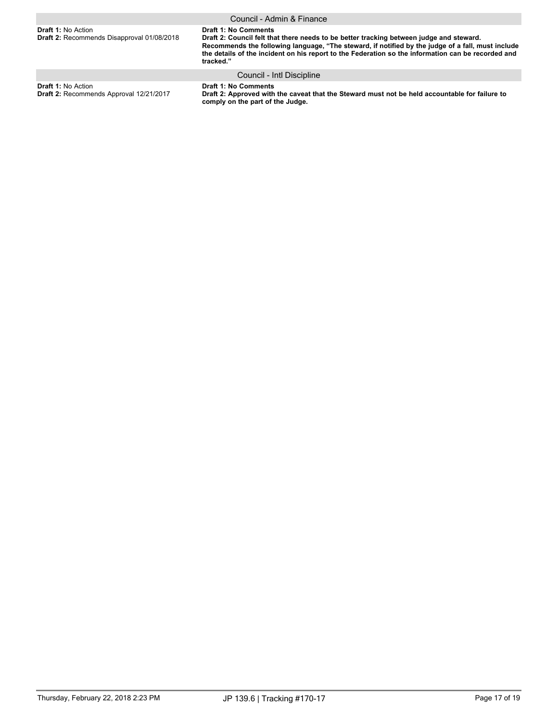|                                                                         | Council - Admin & Finance                                                                                                                                                                                                                                                                                                                      |
|-------------------------------------------------------------------------|------------------------------------------------------------------------------------------------------------------------------------------------------------------------------------------------------------------------------------------------------------------------------------------------------------------------------------------------|
| <b>Draft 1: No Action</b><br>Draft 2: Recommends Disapproval 01/08/2018 | <b>Draft 1: No Comments</b><br>Draft 2: Council felt that there needs to be better tracking between judge and steward.<br>Recommends the following language, "The steward, if notified by the judge of a fall, must include<br>the details of the incident on his report to the Federation so the information can be recorded and<br>tracked." |

Council - Intl Discipline

**Draft 1:** No Action **Draft 2:** Recommends Approval 12/21/2017 **Draft 1: No Comments Draft 2: Approved with the caveat that the Steward must not be held accountable for failure to comply on the part of the Judge.**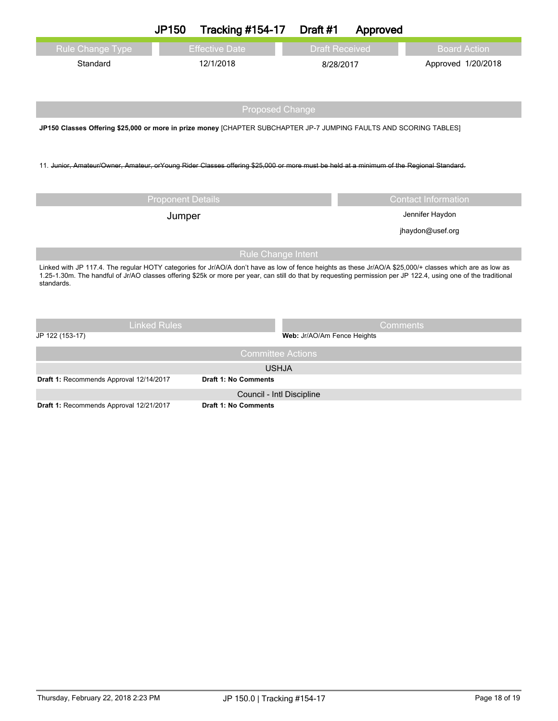|                                                                                                                                                                                                                                                                                                                                           | <b>JP150</b>             | <b>Tracking #154-17</b>                 | Draft #1              | Approved                        |                            |  |  |
|-------------------------------------------------------------------------------------------------------------------------------------------------------------------------------------------------------------------------------------------------------------------------------------------------------------------------------------------|--------------------------|-----------------------------------------|-----------------------|---------------------------------|----------------------------|--|--|
| <b>Rule Change Type</b>                                                                                                                                                                                                                                                                                                                   |                          | <b>Effective Date</b>                   | <b>Draft Received</b> |                                 | <b>Board Action</b>        |  |  |
| Standard                                                                                                                                                                                                                                                                                                                                  |                          | 12/1/2018                               |                       | Approved 1/20/2018<br>8/28/2017 |                            |  |  |
|                                                                                                                                                                                                                                                                                                                                           |                          |                                         |                       |                                 |                            |  |  |
| <b>Proposed Change</b>                                                                                                                                                                                                                                                                                                                    |                          |                                         |                       |                                 |                            |  |  |
| JP150 Classes Offering \$25,000 or more in prize money [CHAPTER SUBCHAPTER JP-7 JUMPING FAULTS AND SCORING TABLES]                                                                                                                                                                                                                        |                          |                                         |                       |                                 |                            |  |  |
|                                                                                                                                                                                                                                                                                                                                           |                          |                                         |                       |                                 |                            |  |  |
| 11. Junior, Amateur/Owner, Amateur, orYoung Rider Classes offering \$25,000 or more must be held at a minimum of the Regional Standard.                                                                                                                                                                                                   |                          |                                         |                       |                                 |                            |  |  |
|                                                                                                                                                                                                                                                                                                                                           |                          |                                         |                       |                                 |                            |  |  |
|                                                                                                                                                                                                                                                                                                                                           | <b>Proponent Details</b> |                                         |                       |                                 | <b>Contact Information</b> |  |  |
|                                                                                                                                                                                                                                                                                                                                           |                          |                                         | Jennifer Haydon       |                                 |                            |  |  |
| Jumper                                                                                                                                                                                                                                                                                                                                    |                          |                                         |                       |                                 |                            |  |  |
|                                                                                                                                                                                                                                                                                                                                           |                          |                                         |                       |                                 | jhaydon@usef.org           |  |  |
| <b>Rule Change Intent</b>                                                                                                                                                                                                                                                                                                                 |                          |                                         |                       |                                 |                            |  |  |
| Linked with JP 117.4. The regular HOTY categories for Jr/AO/A don't have as low of fence heights as these Jr/AO/A \$25,000/+ classes which are as low as<br>1.25-1.30m. The handful of Jr/AO classes offering \$25k or more per year, can still do that by requesting permission per JP 122.4, using one of the traditional<br>standards. |                          |                                         |                       |                                 |                            |  |  |
|                                                                                                                                                                                                                                                                                                                                           |                          |                                         |                       |                                 |                            |  |  |
|                                                                                                                                                                                                                                                                                                                                           | <b>Linked Rules</b>      |                                         |                       | Comments                        |                            |  |  |
| JP 122 (153-17)                                                                                                                                                                                                                                                                                                                           |                          | Web: Jr/AO/Am Fence Heights             |                       |                                 |                            |  |  |
| <b>Committee Actions</b>                                                                                                                                                                                                                                                                                                                  |                          |                                         |                       |                                 |                            |  |  |
| <b>USHJA</b>                                                                                                                                                                                                                                                                                                                              |                          |                                         |                       |                                 |                            |  |  |
| <b>Draft 1: No Comments</b><br>Draft 1: Recommends Approval 12/14/2017                                                                                                                                                                                                                                                                    |                          |                                         |                       |                                 |                            |  |  |
| $\mu$ 4. December de Annualid 19/94/9047                                                                                                                                                                                                                                                                                                  |                          | Council - Intl Discipline<br>$A \cup B$ |                       |                                 |                            |  |  |

**Draft 1:** Recommends Approval 12/21/2017 **Draft 1: No Comments**